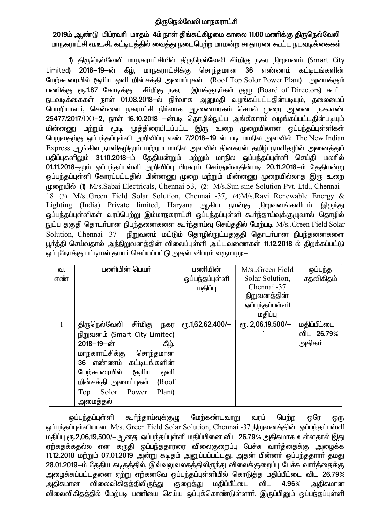# திருநெல்வேலி மாநகராட்சி

# 2019ம் ஆண்டு பிப்ரவரி மாதம் 4ம் நாள் திங்கட்கிழமை காலை 11.00 மணிக்கு திருநெல்வேலி மாநகராட்சி வ.உ.சி. கட்டிடத்தில் வைத்து நடைபெற்ற மாமன்ற சாதாரண கூட்ட நடவடிக்கைகள்

1) திருநெல்வேலி மாநகராட்சியில் திருநெல்வேலி சீா்மிகு நகர நிறுவனம் (Smart City Limited) 2018–19–ன் கீழ், மாநகராட்சிக்கு சொந்தமான 36 எண்ணம் கட்டிடங்களின் மேற்கூரையில் சூரிய ஒளி மின்சக்தி அமைப்புகள் (Roof Top Solor Power Plant) அமைக்கும் பணிக்கு ரூ.1.87 கோடிக்கு சீர்மிகு நகர இயக்குநர்கள் குழு (Board of Directors) கூட்ட நடவடிக்கைகள் நாள் 01.08.2018–ல் நிர்வாக அனுமதி வழங்கப்பட்டதின்படியும், தலைமைப் பொறியாளா், சென்னை நகராட்சி நிா்வாக ஆணையரகம் செயல் முறை ஆணை ந.க.எண் 25477/2017/DO-2, நாள் 16.10.2018 –ன்படி தொழில்நுட்ப அங்கீகாரம் வழங்கப்பட்டதின்படியும் மின்னணு மற்றும் மூடி முத்திரையிடப்பட்ட இரு உறை முறையிலான ஒப்பந்தப்புள்ளிகள் பெறுவதற்கு ஒப்பந்தப்புள்ளி அறிவிப்பு எண் 7/2018–19 ன் படி மாநில அளவில் The New Indian Express ஆங்கில நாளிதழிலும் மற்றும மாநில அளவில் தினகரன் தமிழ் நாளிதழின் அனைத்துப் பதிப்புகளிலும் 31.10.2018—ம் தேதியன்றும் மற்றும் மாநில ஒப்பந்தப்புள்ளி செய்தி மலரில் 01.11.2018–லும் ஒப்பந்தப்புள்ளி அறிவிப்பு பிரசுரம் செய்துள்ளதின்படி 20.11.2018–ம் தேதியன்று ஒப்பந்தப்புள்ளி கோரப்பட்டதில் மின்னணு முறை மற்றும் மின்னணு முறையில்லாத இரு உறை முறையில் (1) M/s.Sabai Electricals, Chennai-53, (2) M/s.Sun sine Solution Pvt. Ltd., Chennai -18 (3) M/s. Green Field Solar Solution, Chennai -37, (4) M/s. Ravi Renewable Energy & Lighting (India) Private limited, Haryana ஆகிய நான்கு நிறுவனங்களிடம் இருந்து ஒப்பந்தப்புள்ளிகள் வரப்பெற்று இம்மாநகராட்சி ஒப்பந்தப்புள்ளி கூா்ந்தாய்வுக்குழுவால் தொழில் நுட்ப தகுதி தொடர்பான நிபந்தனைகளை கூர்ந்தாய்வு செய்ததில் மேற்படி M/s..Green Field Solar Solution, Chennai -37 நிறுவனம் மட்டும் தொழில்நுட்பதகுதி தொடர்பான நிபந்தனைகளை பூர்த்தி செய்வதால் அந்நிறுவனத்தின் விலைப்புள்ளி அட்டவணைகள் 11.12.2018 ல் திறக்கப்பட்டு ஒப்புநோக்கு பட்டியல் தயாா் செய்யப்பட்டு அதன் விபரம் வருமாறு:—

| வ.  | பணியின் பெயர்                   | பணியின்                     | M/s. Green Field      | ஒப்பந்த     |
|-----|---------------------------------|-----------------------------|-----------------------|-------------|
| எண் |                                 | ஒப்பந்தப்புள்ளி             | Solar Solution,       | சதவிகிதம்   |
|     |                                 | மதிப்பு                     | Chennai -37           |             |
|     |                                 |                             | நிறுவனத்தின்          |             |
|     |                                 |                             | ஒப்பந்தப்பள்ளி        |             |
|     |                                 |                             | மதிப்பு               |             |
| 1   | திருநெல்வேலி<br>சீா்மிகு<br>நகர | $\epsilon$ гђ.1,62,62,400/- | $e$ гђ. 2,06,19,500/- | மதிப்பீட்டை |
|     | நிறுவனம் (Smart City Limited)   |                             |                       | விட 26.79%  |
|     | $2018 - 19 - \omega$<br>கீழ்,   |                             |                       | அதிகம்      |
|     | மாநகராட்சிக்கு<br>சொந்தமான      |                             |                       |             |
|     | 36 எண்ணம் கட்டிடங்களின்         |                             |                       |             |
|     | மேற்கூரையில்<br>சூரிய<br>ஒளி    |                             |                       |             |
|     | மின்சக்தி அமைப்புகள்<br>(Roof   |                             |                       |             |
|     | Plant)<br>Top<br>Solor<br>Power |                             |                       |             |
|     | அமைத்தல்                        |                             |                       |             |

மேற்கண்டவாறு ஒப்பந்தப்புள்ளி கூா்ந்தாய்வுக்குழு வரப் பெற்ற ஒரே ஒரு ஒப்பந்தப்புள்ளியான M/s..Green Field Solar Solution, Chennai -37 நிறுவனத்தின் ஒப்பந்தப்பள்ளி மதிப்பு ரூ.2,06,19,500/—ஆனது ஒப்பந்தப்புள்ளி மதிப்பினை விட 26.79% அதிகமாக உள்ளதால் இது ஏற்கதக்கதல்ல என கருதி ஒப்பந்ததாரரை விலைகுறைப்பு பேச்சு வார்த்தைக்கு அழைக்க 11.12.2018 மற்றும் 07.01.2019 அன்று கடிதம் அனுப்பப்பட்டது. அதன் பின்னர் ஒப்பந்ததாரர் தமது 28.01.2019-ம் தேதிய கடிதத்தில், இவ்வலுவலகத்திலிருந்து விலைக்குறைப்பு பேச்சு வார்த்தைக்கு அழைக்கப்பட்டதனை ஏற்று ஏற்கனவே ஒப்பந்தப்புள்ளியில் கொடுத்த மதிப்பீட்டை விட 26.79% அகிகமான விலைவிகிதத்திலிரு<u>ந்</u>து குறைத்து மகிப்பீட்டை விட 4.96% அகிகமான விலைவிகிதத்தில் மேற்படி பணியை செய்ய ஒப்புக்கொண்டுள்ளார். இருப்பினும் ஒப்பந்தப்புள்ளி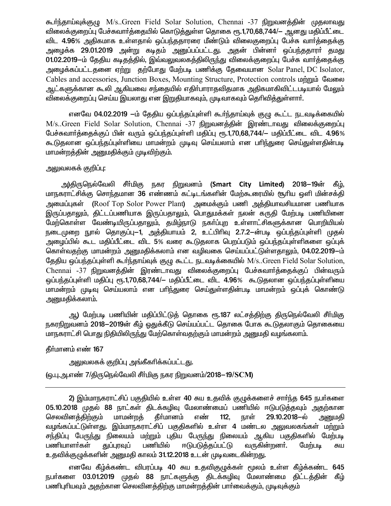கூர்ந்தாய்வுக்குமு M/s..Green Field Solar Solution, Chennai -37 நிறுவனத்தின் முதலாவது விலைக்குறைப்பு பேச்சுவார்த்தையில் கொடுத்துள்ள தொகை ரூ.1,70,68,744/— ஆனது மதிப்பீட்டை விட 4.96% அதிகமாக உள்ளதால் ஒப்பந்ததாரரை மீண்டும் விலைகுறைப்பு பேச்சு வார்த்தைக்கு அழைக்க 29.01.2019 அன்று கடிதம் அனுப்பப்பட்டது. அதன் பின்னா் ஒப்பந்ததாரா் தமது 01.02.2019-ம் தேதிய கடிதத்தில், இவ்வலுவலகத்திலிருந்து விலைக்குறைப்பு பேச்சு வார்த்தைக்கு அழைக்கப்பட்டதனை ஏற்று தற்போது மேற்படி பணிக்கு தேவையான Solar Panel, DC Isolator, Cables and accessories, Junction Boxes, Mounting Structure, Protection controls **unnum** Calmon ஆட்களுக்கான கூலி ஆகியவை சந்தையில் எதிா்பாராதவிதமாக அதிகமாகிவிட்டபடியால் மேலும் விலைக்குறைப்பு செய்ய இயலாது என இறுதியாகவும், முடிவாகவும் தெரிவித்துள்ளார்.

எனவே 04.02.2019 —ம் தேதிய ஒப்பந்தப்புள்ளி கூர்ந்தாய்வுக் குழு கூட்ட நடவடிக்கையில் M/s..Green Field Solar Solution, Chennai -37 நிறுவனத்தின் இரண்டாவது விலைக்குறைப்பு பேச்சுவார்த்தைக்குப் பின் வரும் ஒப்பந்தப்புள்ளி மதிப்பு ரூ.1,70,68,744/— மதிப்பீட்டை விட 4.96% கூடுதலான ஒப்பந்தப்புள்ளியை மாமன்றம் முடிவு செய்யலாம் என பரிந்துரை செய்துள்ளதின்படி மாமன்றத்தின் அனுமதிக்கும் முடிவிற்கும்.

### அலுவலகக் குறிப்பு:

அ)திருநெல்வேலி சீா்்மிகு நகர நிறுவனம் (Smart City Limited) 2018–19ன் கீம். மாநகராட்சிக்கு சொந்தமான 36 எண்ணம் கட்டிடங்களின் மேற்கூரையில் சூரிய ஒளி மின்சக்தி அமைப்புகள் (Roof Top Solor Power Plant) அமைக்கும் பணி அத்தியாவசியமான பணியாக இருப்பதாலும், திட்டப்பணியாக இருப்பதாலும், பொதுமக்கள் நலன் கருதி மேற்படி பணியினை மேற்கொள்ள வேண்டியிருப்பதாலும், தமிழ்நாடு நகா்ப்புற உள்ளாட்சிகளுக்கான பொறியியல் நடைமுறை நுால் தொகுப்பு—1, அத்தியாயம் 2, உட்பிரிவு 2.7.2—ன்படி ஒப்பந்தப்புள்ளி முதல் அழைப்பில் கூட மதிப்பீட்டை விட 5% வரை கூடுதலாக பெறப்படும் ஒப்பந்தப்புள்ளிகளை ஒப்புக் கொள்வதற்கு மாமன்றம் அனுமதிக்கலாம் என வழிவகை செய்யப்பட்டுள்ளதாலும், 04.02.2019—ம் தேதிய ஒப்பந்தப்புள்ளி கூர்ந்தாய்வுக் குழு கூட்ட நடவடிக்கையில் M/s..Green Field Solar Solution, Chennai -37 நிறுவனத்தின் இரண்டாவது விலைக்குறைப்பு பேச்சுவார்த்தைக்குப் பின்வரும் ஒப்பந்தப்புள்ளி மதிப்பு ரூ.1,70,68,744/– மதிப்பீட்டை விட 4.96% கூடுதலான ஒப்பந்தப்புள்ளியை மாமன்றம் முடிவு செய்யலாம் என பாிந்துரை செய்துள்ளதின்படி மாமன்றம் ஒப்புக் கொண்டு அனுமதிக்கலாம்.

ஆ) மேற்படி பணியின் மதிப்பிட்டுத் தொகை ரூ.187 லட்சத்திற்கு திருநெல்வேலி சீா்மிகு நகரநிறுவனம் 2018–2019ன் கீம் ஒதுக்கீடு செய்யப்பட்ட தொகை போக கூடுகலாகும் தொகையை மாநகராட்சி பொது நிதியிலிருந்து மேற்கொள்வதற்கும் மாமன்றம் அனுமதி வழங்கலாம்.

தீர்மானம் எண் 167

<u>அலுவலகக் குறிப்பு அங்கீகரிக்கப்பட்டது.</u>

(ஒ.பு.அ.எண் 7/திருநெல்வேலி சீா்மிகு நகர நிறுவனம்/2018—19/SCM)

2) இம்மாநகராட்சிப் பகுதியில் உள்ள 40 சுய உதவிக் குழுக்களைச் சார்ந்த 645 நபர்களை 05.10.2018 முதல் 88 நாட்கள் திடக்கழிவு மேலாண்மைப் பணியில் ஈடுபடுத்தவும் அதற்கான செலவினக்கிற்கும் மாமன்றக் கீா்மானம் எண்  $112.$ நாள் 29.10.2018-ல் அனுமதி வழங்கப்பட்டுள்ளது. இம்மாநகராட்சிப் பகுதிகளில் உள்ள 4 மண்டல அலுவலகங்கள் மற்றும் சந்திப்பு பேருந்து நிலையம் மற்றும் புதிய பேருந்து நிலையம் ஆகிய பகுதிகளில் மேற்படி துப்புரவுப் பணியாளர்கள் பணியில் ஈடுபடுத்தப்பட்டு வருகின்றனா். மேற்படி சுய உதவிக்குழுக்களின் அனுமதி காலம் 31.12.2018 உடன் முடிவடைகின்றது.

எனவே கீழ்க்கண்ட விபரப்படி 40 சுய உதவிகுழுக்கள் மூலம் உள்ள கீழ்க்கண்ட 645 நபா்களை 03.01.2019 முதல் 88 நாட்களுக்கு திடக்கழிவு மேலாண்மை திட்டத்தின் கீழ் பணிபுரியவும் அதற்கான செலவினத்திற்கு மாமன்றத்தின் பார்வைக்கும், முடிவுக்கும்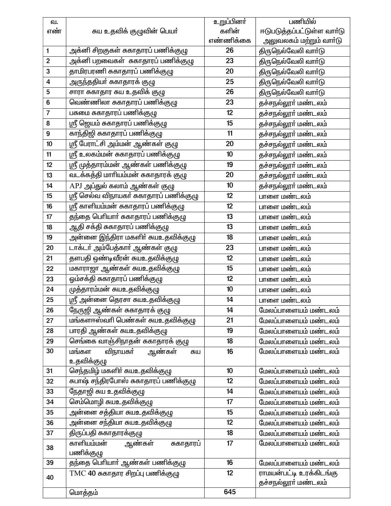| வ.                      |                                              | உறுப்பினர் | பணியில்                                        |
|-------------------------|----------------------------------------------|------------|------------------------------------------------|
| எண்                     | சுய உதவிக் குழுவின் பெயா்                    | களின்      | ஈடுபடுத்தப்பட்டுள்ள வார்டு                     |
|                         |                                              | எண்ணிக்கை  | அலுவலகம் மற்றும் வாா்டு                        |
| $\mathbf{1}$            | அக்னி சிறகுகள் சுகாதாரப் பணிக்குழு           | 26         | திருநெல்வேலி வாா்டு                            |
| $\mathbf{2}$            | அக்னி பறவைகள்  ககாதாரப் பணிக்குழு            | 23         | திருநெல்வேலி வாா்டு                            |
| 3                       | தாமிரபரணி சுகாதாரப் பணிக்குழு                | 20         | திருநெல்வேலி வாா்டு                            |
| $\overline{\mathbf{4}}$ | அருந்ததியா் சுகாதாரக் குழு                   | 25         | திருநெல்வேலி வார்டு                            |
| $\mathbf 5$             | சாரா சுகாதார சுய உதவிக் குழு                 | 26         | திருநெல்வேலி வாா்டு                            |
| $\bf 6$                 | வெண்ணிலா சுகாதாரப் பணிக்குழு                 | 23         | தச்சநல்லூா் மண்டலம்                            |
| $\overline{7}$          | பசுமை சுகாதாரப் பணிக்குழு                    | 12         | தச்சநல்லூா் மண்டலம்                            |
| 8                       | ஸ்ரீ ஜெயம் சுகாதாரப் பணிக்குழு               | 15         | தச்சநல்லூா் மண்டலம்                            |
| $\boldsymbol{9}$        | காந்திஜி சுகாதாரப் பணிக்குழு                 | 11         | தச்சநல்லூா் மண்டலம்                            |
| 10                      | ஸ்ரீ பேராட்சி அம்மன் ஆண்கள் குழு             | 20         | தச்சநல்லூா் மண்டலம்                            |
| 11                      | ஸ்ரீ உலகம்மன் சுகாதாரப் பணிக்குழு            | 10         | தச்சநல்லூா் மண்டலம்                            |
| 12                      | ஸ்ரீ முத்தாரம்மன் ஆண்கள் பணிக்குழு           | 19         | தச்சநல்லூா் மண்டலம்                            |
| 13                      | வடக்கத்தி மாரியம்மன் சுகாதாரக் குழு          | 20         | தச்சநல்லூா் மண்டலம்                            |
| 14                      | APJ அப்துல் கலாம் ஆண்கள் குழு                | 10         | தச்சநல்லூா் மண்டலம்                            |
| 15                      | ஸ்ரீ செல்வ விநாயகா் சுகாதாரப் பணிக்குழு      | 12         | பாளை மண்டலம்                                   |
| 16                      | ஸ்ரீ காளியம்மன் சுகாதாரப் பணிக்குழு          | 12         | பாளை மண்டலம்                                   |
| 17                      | தந்தை பெரியாா் சுகாதாரப் பணிக்குழு           | 13         | பாளை மண்டலம்                                   |
| 18                      | ஆதி சக்தி சுகாதாரப் பணிக்குழு                | 13         | பாளை மண்டலம்                                   |
| 19                      | அன்னை இந்திரா மகளிா் சுயஉதவிக்குழு           | 18         | பாளை மண்டலம்                                   |
| 20                      | டாக்டா் அம்பேத்காா் ஆண்கள் குழு              | 23         | பாளை மண்டலம்                                   |
| 21                      | தளபதி ஒண்டிவீரன் சுயஉதவிக்குழு               | 12         | பாளை மண்டலம்                                   |
| 22                      | மகாராஜா ஆண்கள் சுயஉதவிக்குழு                 | 15         | பாளை மண்டலம்                                   |
| 23                      | ஒம்சக்தி சுகாதாரப் பணிக்குழு                 | 12         | பாளை மண்டலம்                                   |
| 24                      | முத்தாரம்மன் சுயஉதவிக்குழு                   | 10         | பாளை மண்டலம்                                   |
| 25                      | ஸ்ரீ அன்னை தெரசா சுயஉதவிக்குழ <mark>ு</mark> | 14         | பாளை மண்டலம்                                   |
| 26                      | நேருஜி ஆண்கள் சுகாதாரக் குழு                 | 14         | மேலப்பாளையம் மண்டலம்                           |
| 27                      | மங்களாஸ்வாி பெண்கள் சுயஉதவிக்குழு            | 21         | மேலப்பாளையம் மண்டலம்                           |
| 28                      | பாரதி ஆண்கள் சுயஉதவிக்குழு                   | 19         | மேலப்பாளையம் மண்டலம்                           |
| 29                      | செங்கை வாஞ்சிநாதன் சுகாதாரக் குழு            | 18         | மேலப்பாளையம் மண்டலம்                           |
| 30                      | மங்கள<br>விநாயகா் ஆண்கள்<br>சுய              | 16         | மேலப்பாளையம் மண்டலம்                           |
|                         | உதவிக்குழு                                   |            |                                                |
| 31                      | செந்தமிழ் மகளிா் சுயஉதவிக்குழு               | 10         | மேலப்பாளையம் மண்டலம்                           |
| 32                      | சுபாஷ் சந்திரபோஸ் சுகாதாரப் பணிக்குழு        | 12         | மேலப்பாளையம் மண்டலம்                           |
| 33                      | நேதாஜி சுய உதவிக்குழு                        | 14         | மேலப்பாளையம் மண்டலம்                           |
| 34                      | செம்மொழி சுயஉதவிக்குழு                       | 17         | மேலப்பாளையம் மண்டலம்                           |
| 35                      | அன்னை சத்தியா சுயஉதவிக்குழு                  | 15         | மேலப்பாளையம் மண்டலம்                           |
| 36                      | அன்னை சந்தியா சுயஉதவிக்குழு                  | 12         | மேலப்பாளையம் மண்டலம்                           |
| 37                      | திருப்பதி சுகாதாரக்குழு                      | 18         | மேலப்பாளையம் மண்டலம்                           |
| 38                      | காளியம்மன்<br>ஆண்கள்<br>சுகாதாரப்            | 17         | மேலப்பாளையம் மண்டலம்                           |
|                         | பணிக்குழு                                    |            |                                                |
| 39                      | தந்தை பெரியார் ஆண்கள் பணிக்குழு              | 16         | மேலப்பாளையம் மண்டலம்                           |
| 40                      | $TMC$ 40 சுகாதார சிறப்பு பணிக்குழு           | 12         | ராமயன்பட்டி உரக்கிடங்கு<br>தச்சநல்லூா் மண்டலம் |
|                         | மொத்தம்                                      | 645        |                                                |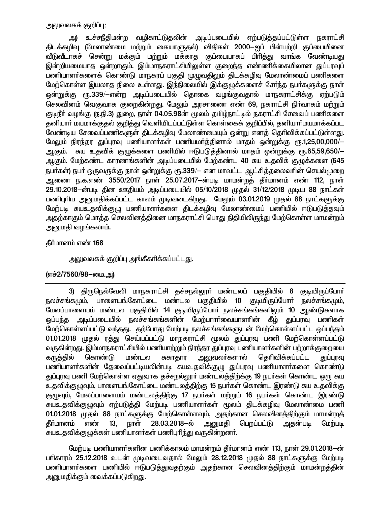### அலுவலகக் குறிப்பு:

அ) உச்சநீதிமன்ற வழிகாட்டுதலின் அடிப்படையில் ஏற்படுத்தப்பட்டுள்ள நகராட்சி திடக்கழிவு (மேலாண்மை மற்றும் கையாளுதல்) விதிகள் 2000—ஐப் பின்பற்றி குப்பையினை வீடுவீடாகச் சென்று மக்கும் மற்றும் மக்காக குப்பையாகப் பிரித்து வாங்க வேண்டியது இன்றியமையாத ஒன்றாகும். இம்மாநகராட்சியிலுள்ள குறைந்த எண்ணிக்கையிலான துப்புரவுப் பணியாளா்களைக் கொண்டு மாநகரப் பகுதி முழுவதிலும் திடக்கழிவு மேலாண்மைப் பணிகளை மேற்கொள்ள இயலாத நிலை உள்ளது. இந்நிலையில் இக்குழுக்களைச் சேர்ந்த நபர்களுக்கு நாள் ஒன்றுக்கு ரூ.339/—என்ற அடிப்படையில் தொகை வழங்குவதால் மாநகராட்சிக்கு ஏற்படும் செலவினம் வெகுவாக குறைகின்றது. மேலும் அரசாணை எண் 69, நகராட்சி நிர்வாகம் மற்றும் குடிநீர் வழங்கு (ந.நி.3) துறை, நாள் 04.05.98ன் மூலம் தமிழ்நாட்டில் நகராட்சி சேவைப் பணிகளை தனியார் மயமாக்குதல் குறித்து வெளியிடப்பட்டுள்ள கொள்கைக் குறிப்பில், தனியார்மயமாக்கப்பட வேண்டிய சேவைப்பணிகளுள் திடக்கழிவு மேலாண்மையும் ஒன்று எனத் தெரிவிக்கப்பட்டுள்ளது. மேலும் நிரந்தர துப்புரவு பணியாளர்கள் பணியமர்த்தினால் மாதம் ஒன்றுக்கு ரூ.1,25,00,000/— ஆகும். சுய உதவிக் குமுக்களை பணியில் ஈடுபடுக்கினால் மாதம் ஒன்றுக்கு <sub>C</sub>ஈ.65.59.650/— ஆகும். மேற்கண்ட காரணங்களின் அடிப்படையில் மேற்கண்ட 40 சுய உதவிக் குழுக்களை (645 நபர்கள்) நபர் ஒருவருக்கு நாள் ஒன்றுக்கு ரூ.339/— என மாவட்ட ஆட்சித்தலைவரின் செயல்முறை ஆணை ந.க.எண் 3550/2017 நாள் 25.07.2017—ன்படி மாமன்றத் தீர்மானம் எண் 112. நாள் 29.10.2018-ன்படி தின ஊதியம் அடிப்படையில் 05/10/2018 முதல் 31/12/2018 முடிய 88 நாட்கள் பணிபுரிய அனுமதிக்கப்பட்ட காலம் முடிவடைகிறது. மேலும் 03.01.2019 முதல் 88 நாட்களுக்கு மேற்படி சுயஉதவிக்குமு பணியாளர்களை திடக்கழிவு மேலாண்மைப் பணியில் ஈடுபடுக்கவும் அதற்காகும் மொத்த செலவினத்தினை மாநகராட்சி பொது நிதியிலிருந்து மேற்கொள்ள மாமன்றம் அனுமதி வழங்கலாம்.

### தீர்மானம் எண் 168

அலுவலகக் குறிப்பு அங்கீகரிக்கப்பட்டது.

# (எச்2/7560/98-யை.அ)

3) திருநெல்வேலி மாநகராட்சி தச்சநல்லூா் மண்டலப் பகுதியில் 8 குடியிருப்போா் நலச்சங்கமும், பாளையங்கோட்டை மண்டல பகுதியில் 10 குடியிருப்போர் நலச்சங்கமும், மேலப்பாளையம் மண்டல பகுதியில் 14 குடியிருப்போர் நலச்சங்கங்களிலும் 10 ஆண்டுகளாக அடிப்படையில் நலச்சங்கங்களின் மேற்பாாா்வையாளாின் கீழ் துப்பரவு பணிகள் ஒப்பந்த மேற்கொள்ளப்பட்டு வந்தது. தற்போது மேற்படி நலச்சங்கங்களுடன் மேற்கொள்ளப்பட்ட ஒப்பந்தம் 01.01.2018 முதல் ரத்து செய்யப்பட்டு மாநகராட்சி மூலம் துப்புரவு பணி மேற்கொள்ளப்பட்டு வருகின்றது. இம்மாநகராட்சியில் பணியாற்றும் நிரந்தர துப்புரவு பணியாளர்களின் பற்றாக்குறையை கருத்தில் கொண்டு மண்டல சுகாதார அலுவலா்களால் கெரிவிக்கப்பட்ட துப்புரவு பணியாளா்களின் தேவைப்பட்டியலின்படி சுயஉதவிக்குமு துப்புரவு பணியாளா்களை கொண்டு துப்புரவு பணி மேற்கொள்ள ஏதுவாக தச்சநல்லூர் மண்டலத்திற்க்கு 19 நபர்கள் கொண்ட ஒரு சுய உதவிக்குமுவும், பாளையங்கோட்டை மண்டலக்கிற்கு 15 நபர்கள் கொண்ட இரண்டு சுய உதவிக்கு குழுவும், மேலப்பாளையம் மண்டலத்திற்கு 17 நபர்கள் மற்றும் 16 நபர்கள் கொண்ட இரண்டு சுயஉதவிக்குமுவும் ஏற்படுக்கி மேற்படி பணியாளர்கள் மூலம் திடக்கழிவு மேலாண்மை பணி 01.01.2018 முதல் 88 நாட்களுக்கு மேற்கொள்ளவும், அதற்கான செலவினத்திற்கும் மாமன்றத் கீர்மானம் நாள் 28.03.2018–ல் அனுமகி எண்  $13.$ பெறப்பட்டு அகன்படி மேற்படி சுயஉதவிக்குமுக்கள் பணியாளர்கள் பணிபுரிந்து வருகின்றனர்.

மேற்படி பணியாளர்களின பணிக்காலம் மாமன்றம் தீர்மானம் எண் 113, நாள் 29.01.2018—ன் பரிகாரம் 25.12.2018 உடன் முடிவடைவதால் மேலும் 28.12.2018 முதல் 88 நாட்களுக்கு மேற்படி பணியாளா்களை பணியில் ஈடுபடுத்துவதற்கும் அதற்கான செலவினத்திற்கும் மாமன்றத்தின் அனுமதிக்கும் வைக்கப்படுகிறது.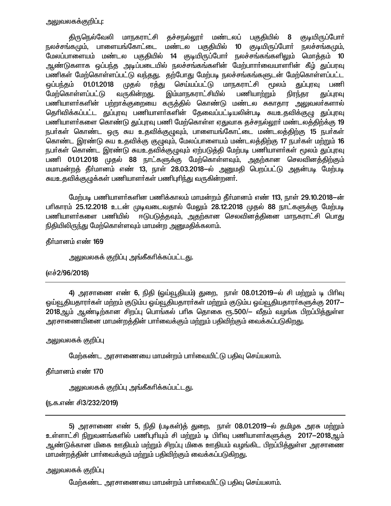## அலுவலகக்குறிப்பு:

திருநெல்வேலி மாநகராட்சி தச்சநல்லூா் மண்டலப் பகுதியில் 8 குடியிருப்போா் நலச்சங்கமும், பாளையங்கோட்டை மண்டல பகுதியில் 10 குடியிருப்போர் நலச்சங்கமும், மேலப்பாளையம் மண்டல பகுதியில் 14 குடியிருப்போர் நலச்சங்கங்களிலும் மொத்தம் 10 ஆண்டுகளாக ஒப்பந்த அடிப்படையில் நலச்சங்கங்களின் மேற்பாாா்வையாளாின் கீழ் <u>க</u>ுப்பரவு பணிகள் மேற்கொள்ளப்பட்டு வந்தது. தற்போது மேற்படி நலச்சங்கங்களுடன் மேற்கொள்ளப்பட்ட <u>ஒ</u>ப்பந்தம் 01.01.2018 முதல் ரத்து செய்யப்பட்டு மாநகராட்சி மூலம் துப்புரவு பணி மேற்கொள்ளப்பட்டு வருகின்றது. இம்மாநகராட்சியில் பணியாற்றும் நிரந்தர துப்புரவு பணியாளர்களின் பற்றாக்குறையை கருத்தில் கொண்டு மண்டல சுகாதார அலுவலர்களால் தெரிவிக்கப்பட்ட துப்புரவு பணியாளர்களின் தேவைப்பட்டியலின்படி சுயஉதவிக்குழு துப்புரவு பணியாளர்களை கொண்டு துப்புரவு பணி மேற்கொள்ள ஏதுவாக தச்சநல்லூர் மண்டலத்திற்க்கு 19 நபா்கள் கொண்ட ஒரு சுய உதவிக்குழுவும், பாளையங்கோட்டை மண்டலத்திற்கு 15 நபா்கள் கொண்ட இரண்டு சுய உதவிக்கு குமுவும், மேலப்பாளையம் மண்டலத்திற்கு 17 நபர்கள் மற்றும் 16 நபா்கள் கொண்ட இரண்டு சுயஉதவிக்குழுவும் ஏற்படுத்தி மேற்படி பணியாளா்கள் மூலம் துப்புரவு பணி 01.01.2018 முதல் 88 நாட்களுக்கு மேற்கொள்ளவும், அதற்கான செலவினத்திற்கும் மமாமன்றத் தீா்மானம் எண் 13, நாள் 28.03.2018–ல் அனுமதி பெறப்பட்டு அதன்படி மேற்படி <u>சுயஉதவிக்குழு</u>க்கள் பணியாளர்கள் பணிபுரிந்து வருகின்றனர்.

மேற்படி பணியாளர்களின பணிக்காலம் மாமன்றம் தீர்மானம் எண் 113, நாள் 29.10.2018—ன் பாிகாரம் 25.12.2018 உடன் முடிவடைவதால் மேலும் 28.12.2018 முதல் 88 நாட்களுக்கு மேற்படி<br>பணியாளா்களை பணியில் ஈடுபடுத்தவும், அதற்கான செலவினத்தினை மாநகராட்சி பொது ஈடுபடுத்தவும், அதற்கான செலவினத்தினை மாநகராட்சி பொது நிதியிலிருந்து மேற்கொள்ளவும் மாமன்ற அனுமதிக்கலாம்.

தீர்மானம் எண் 169

அலுவலகக் குறிப்பு அங்கீகரிக்கப்பட்ட<u>த</u>ு.

### (எச்2/96/2018)

4) அரசாணை எண் 6, நிதி (ஒய்வூதியம்) துறை, நாள் 08.01.2019—ல் சி மற்றும் டி பிரிவு <u>ஒ</u>ய்வூதியதாரா்கள் மற்றம் குடும்ப ஒய்வூதியதாரா்கள் மற்றும் குடும்ப ஒய்வூதியதாரா்களுக்கு 2017– 2018ஆம் ஆண்டிற்கான சிறப்பு பொங்கல் பாிசு தொகை ரூ.500/— வீதம் வழங்க பிறப்பித்துள்ள அரசாணையினை மாமன்றத்தின் பார்வைக்கும் மற்றும் பதிவிற்கும் வைக்கப்படுகி<u>றத</u>ு.

### அலுவலகக் குறி**ப்**பு

மேற்கண்ட அரசாணையை மாமன்றம் பார்வையிட்டு பதிவு செய்யலாம்.

தீர்மானம் எண் 170

<u>அலு</u>வலகக் குறிப்பு அங்கீகரிக்கப்பட்டது.

(ந.க.எண் சி3/232/2019)

5) அரசாணை எண் 5, நிதி (படிகள்)த் துறை, நாள் 08.01.2019—ல் தமிழக அரசு மற்றும் உள்ளாட்சி நிறுவனங்களில் பணிபுரியும் சி மற்றும் டி பிரிவு பணியாளர்களுக்கு 2017-2018ஆம் ஆண்டுக்கான மிகை ஊதியம் மற்றும் சிறப்பு மிகை ஊதியம் வழங்கிட பிறப்பித்துள்ள அரசாணை <u>மாமன்றத்தின் பார்வைக்கும் மற்றும் பதிவிற்கும் வைக்கப்படுகிறது.</u>

### அலுவலகக் குறிப்பு

மேற்கண்ட அரசாணையை மாமன்றம் பார்வையிட்டு பகிவு செய்யலாம்.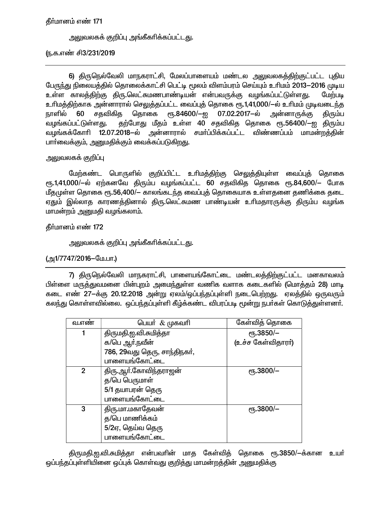தீர்மானம் எண் 171

அலுவலகக் குறிப்பு அங்கீகாிக்கப்பட்டது.

ரு.க.எண் சி3/231/2019

6) திருநெல்வேலி மாநகராட்சி, மேலப்பாளையம் மண்டல அலுவலகத்திற்குட்பட்ட புதிய பேருந்து நிலையத்தில் தொலைக்காட்சி பெட்டி மூலம் விளம்பரம் செய்யும் உரிமம் 2013—2016 முடிய உள்ள காலத்திற்கு திரு.லெட்சுமணபாண்டியன் என்பவருக்கு வழங்கப்பட்டுள்ளது. மேற்படி உரிமத்திற்காக அன்னாரால் செலுத்தப்பட்ட வைப்புத் தொகை ரூ.1,41,000/—ல் உரிமம் முடிவடைந்த நாளில் 60 சதவிகித தொகை ரூ.84600/—ஐ 07.02.2017—ல் அன்னாருக்கு திரும்ப தற்போது மீதம் உள்ள 40 சதவிகித தொகை ரூ.56400/—ஐ திரும்ப வழங்கப்பட்டுள்ளது. வழங்கக்கோரி 12.07.2018—ல் அன்னாரால் சமா்ப்பிக்கப்பட்ட விண்ணப்பம் மாமன்றத்தின் பாா்வைக்கும், அனுமதிக்கும் வைக்கப்படுகிறது.

அலுவலகக் குறிப்பு

மேற்கண்ட பொருளில் குறிப்பிட்ட உரிமத்திற்கு செலுத்தியுள்ள வைப்புத் தொகை ரூ.1,41,000/-ல் ஏற்கனவே திரும்ப வழங்கப்பட்ட 60 சதவிகித தொகை ரூ.84,600/– போக மீதமுள்ள தொகை ரூ.56,400/— காலங்கடந்த வைப்புத் தொகையாக உள்ளதனை தணிக்கை தடை ஏதும் இல்லாத காரணத்தினால் திரு.லெட்சுமண பாண்டியன் உரிமதாரருக்கு திரும்ப வழங்க மாமன்றம் அனுமதி வழங்கலாம்.

தீர்மானம் எண் 172

அலுவலகக் குறிப்பு அங்கீகரிக்கப்பட்டது.

(அ1/7747/2016-மே.பா.)

7) திருநெல்வேலி மாநகராட்சி, பாளையங்கோட்டை மண்டலத்திற்குட்பட்ட மனகாவலம் பிள்ளை மருத்துவமனை பின்புறம் அமைந்துள்ள வணிக வளாக கடைகளில் (மொத்தம் 28) மாடி கடை எண் 27-க்கு 20.12.2018 அன்று ஏலம்/ஒப்பந்தப்புள்ளி நடைபெற்றது. ஏலத்தில் ஒருவரும் கலந்து கொள்ளவில்லை. ஒப்பந்தப்புள்ளி கீழ்க்கண்ட விபரப்படி மூன்று நபர்கள் கொடுத்துள்ளனர்.

| வ.எண           | பெயர் $\&$ முகவரி            | கேள்வித் தொகை        |
|----------------|------------------------------|----------------------|
|                | திருமதி.ஐ.வி.சுமித்தா        | еҧ.3850/-            |
|                | க/பெ ஆர்.நவீன்               | (உச்ச கேள்விதாரா்)   |
|                | 786, 29வது தெரு, சாந்திநகர், |                      |
|                | பாளையங்கோட்டை                |                      |
| $\overline{2}$ | திரு.ஆா்.கோவிந்தராஜன்        | $\epsilon$ гђ.3800/- |
|                | த/பெ பெருமாள்                |                      |
|                | 5/1 தயாபரன் தெரு             |                      |
|                | பாளையங்கோட்டை                |                      |
| 3              | திரு.மா.மகாதேவன்             | $\epsilon$ гђ.3800/- |
|                | த/பெ மாணிக்கம்               |                      |
|                | 5/2ஏ, தெய்வ தெரு             |                      |
|                | பாளையங்கோட்டை                |                      |

திருமதி.ஐ.வி.சுமித்தா என்பவரின் மாத கேள்வித் தொகை ரூ.3850/—க்கான உயர் ஒப்பந்தப்புள்ளியினை ஒப்புக் கொள்வது குறித்து மாமன்றத்தின் அனுமதிக்கு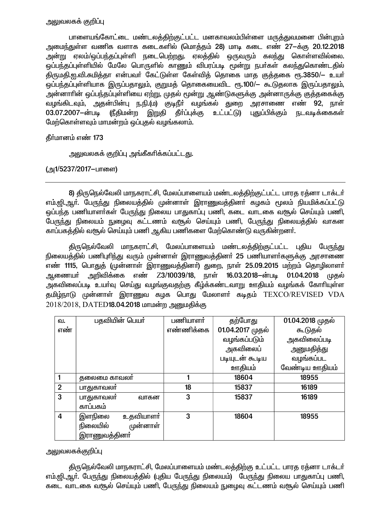# அலுவலகக் குறிப்பு

பாளையங்கோட்டை மண்டலத்திற்குட்பட்ட மனகாவலம்பிள்ளை மருத்துவமனை பின்புறம் அமைந்துள்ள வணிக வளாக கடைகளில் (மொத்தம் 28) மாடி கடை எண் 27-க்கு 20.12.2018 அன்று ஏலம்/ஒப்பந்தப்புள்ளி நடைபெற்றது. ஏலத்தில் ஒருவரும் கலந்து கொள்ளவில்லை. ஒப்பந்தப்புள்ளியில் மேலே பொருளில் காணும் விபரப்படி மூன்று நபர்கள் கலந்துகொண்டதில் .<br>திருமதி.ஐ.வி.சுமித்தா என்பவர் கேட்டுள்ள கேள்வித் தொகை மாத குத்தகை ரூ.3850/— உயர் ஒப்பந்தப்புள்ளியாக இருப்பதாலும், குறுமத் தொகையைவிட ரூ.100/— கூடுதலாக இருப்பதாலும், அன்னாாின் ஒப்பந்தப்புள்ளியை ஏற்று, முதல் மூன்று ஆண்டுகளுக்கு அன்னாருக்கு குத்தகைக்கு வழங்கிடவும், அதன்பின்பு ந.நி.(ம) குடிநீா் வழங்கல் துறை அரசாணை எண் 92, நாள் 03.07.2007-ன்படி (நீதிமன்ற இறுதி தீா்ப்புக்கு உட்பட்டு) புதுப்பிக்கும் நடவடிக்கைகள் மேற்கொள்ளவும் மாமன்றம் ஒப்புதல் வழங்கலாம்.

தீர்மானம் எண் 173

அலுவலகக் குறிப்பு அங்கீகரிக்கப்பட்ட<u>த</u>ு.

(அ1/5237/2017-பாளை)

8) திருநெல்வேலி மாநகராட்சி, மேலப்பாளையம் மண்டலத்திற்குட்பட்ட பாரத ரத்னா டாக்டர் எம்.ஜி.ஆர். பேருந்து நிலையத்தில் முன்னாள் இராணுவத்தினர் கழகம் மூலம் நியமிக்கப்பட்டு ஒப்பந்த பணியாளர்கள் பேருந்து நிலைய பாதுகாப்பு பணி, கடை வாடகை வசூல் செய்யும் பணி, பேருந்து நிலையம் நுழைவு கட்டணம் வரூல் செய்யும் பணி, பேருந்து நிலையத்தில் வாகன காப்பகத்தில் வசூல் செய்யும் பணி ஆகிய பணிகளை மேற்கொண்டு வருகின்றனர்.

திருநெல்வேலி மாநகராட்சி, மேலப்பாளையம் மண்டலத்திற்குட்பட்ட புதிய பேருந்து நிலையத்தில் பணிபுரிந்து வரும் முன்னாள் இராணுவத்தினா் 25 பணியாளா்களுக்கு அரசாணை எண் 1115, பொதுத் (முன்னாள் இராணுவத்தினா்) துறை, நாள் 25.09.2015 மற்றம் தொழிலாளா் ஆணையா் அறிவிக்கை எண் Z3/10039/18, நாள் 16.03.2018–ன்படி 01.04.2018 முதல் அகவிலைப்படி உயாவு செய்து வழங்குவதற்கு கீழ்க்கண்டவாறு ஊதியம் வழங்கக் கோரியுள்ள தமிழ்நாடு முன்னாள் இராணுவ கழக பொது மேலாளர் கடிதம் TEXCO/REVISED VDA 2018/2018, DATED18.04.2018 மாமன்ற அனுமதிக்கு

| வ.             | பதவியின் பெயர்             | பணியாளர்  | தற்போது          | 01.04.2018 முதல் |
|----------------|----------------------------|-----------|------------------|------------------|
| எண்            |                            | எண்ணிக்கை | 01.04.2017 முதல் | கூடுதல்          |
|                |                            |           | வழங்கப்படும்     | அகவிலைப்படி      |
|                |                            |           | அகவிலைப்         | அனுமதித்து       |
|                |                            |           | படியுடன் கூடிய   | வழங்கப்பட        |
|                |                            |           | ஊதியம்           | வேண்டிய ஊதியம்   |
|                | தலைமை காவலர்               |           | 18604            | 18955            |
| $\overline{2}$ | பாதுகாவலா்                 | 18        | 15837            | 16189            |
| 3              | <u>பாது</u> காவலா்<br>வாகன | 3         | 15837            | 16189            |
|                | காப்பகம்                   |           |                  |                  |
| $\overline{4}$ | உதவியாளா்<br>இளநிலை        | 3         | 18604            | 18955            |
|                | நிலையில்<br>முன்னாள்       |           |                  |                  |
|                | இராணுவத்தினா்              |           |                  |                  |

அலுவலகக்குறி**ப்**பு

திருநெல்வேலி மாநகராட்சி, மேலப்பாளையம் மண்டலத்திற்கு உட்பட்ட பாரத ரத்னா டாக்டர் எம்.ஜி.ஆர். பேருந்து நிலையத்தில் (புதிய பேருந்து நிலையம்) பேருந்து நிலைய பாதுகாப்பு பணி, கடை வாடகை வசூல் செய்யும் பணி, பேருந்து நிலையம் நுழைவு கட்டணம் வசூல் செய்யும் பணி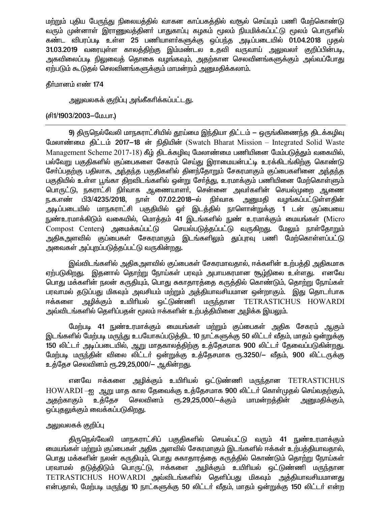மற்றும் புதிய பேருந்து நிலையத்தில் வாகன காப்பகத்தில் வசூல் செய்யும் பணி மேற்கொண்டு வரும் முன்னாள் இராணுவத்தினா் பாதுகாப்பு கழகம் மூலம் நியமிக்கப்பட்டு மூலம் பொருளில் கண்ட விபரப்படி உள்ள 25 பணியாளா்களுக்கு ஒப்பந்த அடிப்படையில் 01.04.2018 முதல் 31.03.2019 வரையுள்ள காலத்திற்கு இம்மண்டல உதவி வருவாய் அலுவலர் குறிப்பின்படி, அகவிலைப்படி நிலுவைத் தொகை வழங்கவும், அதற்கான செலவினங்களுக்கும் அவ்வப்போது ஏற்படும் கூடுதல் செலவினங்களுக்கும் மாமன்றம் அனுமதிக்கலாம்.

### தீர்மானம் எண் 174

அலுவலகக் குறிப்பு அங்கீகரிக்கப்பட்டது.

### (சி1/1903/2003–மே.பா.)

9) திருநெல்வேலி மாநகராட்சியில் தூய்மை இந்தியா திட்டம் — ஒருங்கிணைந்த திடக்கழிவு மேலாண்மை திட்டம் 2017-18 ன் நிதியின் (Swatch Bharat Mission - Integrated Solid Waste Management Scheme 2017-18) கீழ் திடக்கழிவு மேலாண்மை பணியினை மேம்படுத்தும் வகையில், பல்வேறு பகுதிகளில் குப்பைகளை சேகரம் செய்து இராமையன்பட்டி உரக்கிடங்கிற்கு கொண்டு சோ்ப்பதற்கு பதிலாக, அந்தந்த பகுதிகளில் தினந்தோறும் சேகரமாகும் குப்பைகளினை அந்தந்த பகுதியில் உள்ள பூங்கா திறவிடங்களில் ஒன்று சோத்து, உரமாக்கும் பணியினை மேற்கொள்ளும் பொருட்டு, நகராட்சி நிர்வாக ஆணையாளர், சென்னை அவர்களின் செயல்முறை ஆணை ந.க.எண் பி3/4235/2018, நாள் 07.02.2018–ல் நிர்வாக அனுமதி வழங்கப்பட்டுள்ளதின் அடிப்படையில் மாநகராட்சி பகுதியில் ஓா் இடத்தில் நாளொன்றுக்கு 1 டன் குப்பையை நுண்உரமாக்கிடும் வகையில், மொத்தம் 41 இடங்களில் நுண் உரமாக்கும் மையங்கள் (Micro Compost Centers) அமைக்கப்பட்டு செயல்படுத்தப்பட்டு வருகிறது. மேலும் நாள்தோறும் அதிகஅளவில் குப்பைகள் சேகரமாகும் இடங்களிலும் துப்புரவு பணி மேற்கொள்ளப்பட்டு அவைகள் அப்புறப்படுத்தப்பட்டு வருகின்றது.

இவ்விடங்களில் அதிகஅளவில் குப்பைகள் சேகரமாவதால், ஈக்களின் உற்பத்தி அதிகமாக ஏற்படுகிறது. இதனால் தொற்று நோய்கள் பரவும் அபாயகரமான சூழ்நிலை உள்ளது. எனவே பொது மக்களின் நலன் கருதியும், பொது சுகாதாரத்தை கருத்தில் கொண்டும், தொற்று நோய்கள் பரவாமல் தடுப்பது மிகவும் அவசியம் மற்றும் அத்தியாவசியமான ஒன்றாகும். இது தொடர்பாக ஈக்களை அழிக்கும் உயிரியல் ஒட்டுண்ணி மருந்தான TETRASTICHUS HOWARDI அவ்விடங்களில் தெளிப்பதன் மூலம் ஈக்களின் உற்பத்தியினை அழிக்க இயலும்.

மேற்படி 41 நுண்உரமாக்கும் மையங்கள் மற்றும் குப்பைகள் அதிக சேகரம் ஆகும் இடங்களில் மேற்படி மருந்து உபயோகப்படுத்திட 10 நாட்களுக்கு 50 லிட்டர் வீதம், மாதம் ஒன்றுக்கு 150 லிட்டர் அடிப்படையில், ஆறு மாதகாலத்திற்கு உத்தேசமாக 900 லிட்டர் தேவைப்படுகின்றது. மேற்படி மருந்தின் விலை லிட்டர் ஒன்றுக்கு உத்தேசமாக ரூ.3250/— வீதம், 900 லிட்டருக்கு உத்தேச செலவினம் ரூ.29,25,000/— ஆகின்றது.

எனவே ஈக்களை அழிக்கும் உயிரியல் ஒட்டுண்ணி மருந்தான TETRASTICHUS HOWARDI --ஐ ஆறு மாத கால தேவைக்கு உத்தேசமாக 900 லிட்டர் கொள்முதல் செய்வதற்கும், செலவினம் ரூ.29,25,000/ $-$ க்கும் மாமன்றத்தின் அனுமதிக்கும், அதற்காகும் உத்தேச ஒப்புதலுக்கும் வைக்கப்படுகிறது.

### அலுவலகக் குறிப்பு

திருநெல்வேலி மாநகராட்சிப் பகுதிகளில் செயல்பட்டு வரும் 41 நுண்உரமாக்கும் மையங்கள் மற்றும் குப்பைகள் அதிக அளவில் சேகரமாகும் இடங்களில் ஈக்கள் உற்பத்தியாவதால், பொது மக்களின் நலன் கருதியும், பொது சுகாதாரத்தை கருத்தில் கொண்டும் தொற்று நோய்கள் பரவாமல் தடுத்திடும் பொருட்டு, ஈக்களை அழிக்கும் உயிரியல் ஒட்டுண்ணி மருந்தான TETRASTICHUS HOWARDI அவ்விடங்களில் தெளிப்பது மிகவும் அத்தியாவசியமானது என்பதால், மேற்படி மருந்து 10 நாட்களுக்கு 50 லிட்டர் வீதம், மாதம் ஒன்றுக்கு 150 லிட்டர் என்ற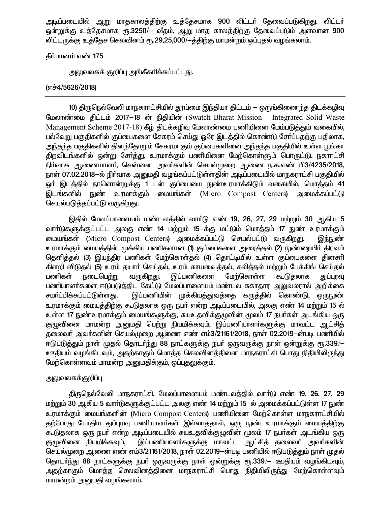அடிப்படையில் ஆறு மாதகாலத்திற்கு உத்தேசமாக 900 லிட்டர் தேவைப்படுகிறது. லிட்டர் ஒன்றுக்கு உத்தேசமாக ரூ.3250/— வீதம், ஆறு மாத காலத்திற்கு தேவைப்படும் அளவான 900 லிட்டருக்கு உத்தேச செலவினம் ரூ.29,25,000/-த்திற்கு மாமன்றம் ஒப்புதல் வழங்கலாம்.

தீர்மானம் எண் 175

அலுவலகக் குறிப்பு அங்கீகரிக்கப்பட்ட<u>து</u>.

## (எச்4/5626/2018)

10) திருநெல்வேலி மாநகராட்சியில் தூய்மை இந்தியா திட்டம் — ஒருங்கிணைந்த திடக்கழிவு மேலாண்மை கிட்டம் 2017-18 ன் நிதியின் (Swatch Bharat Mission – Integrated Solid Waste Management Scheme 2017-18) கீழ் திடக்கழிவு மேலாண்மை பணியினை மேம்படுத்தும் வகையில், பல்வேறு பகுதிகளில் குப்பைகளை சேகரம் செய்து ஒரே இடத்தில் கொண்டு சேர்ப்பதற்கு பதிலாக, அந்தந்த பகுதிகளில் தினந்தோறும் சேகரமாகும் குப்பைகளினை அந்தந்த பகுதியில் உள்ள பூங்கா திறவிடங்களில் ஒன்று சேர்த்து, உரமாக்கும் பணியினை மேற்கொள்ளும் பொருட்டு, நகராட்சி நிா்வாக ஆணையாளா், சென்னை அவா்களின் செயல்முறை ஆணை ந.க.எண் பி3/4235/2018, நாள் 07.02.2018–ல் நிர்வாக அனுமதி வழங்கப்பட்டுள்ளதின் அடிப்படையில் மாநகராட்சி பகுதியில் ஒர் இடத்தில் நாளொன்றுக்கு 1 டன் குப்பையை நுண்உரமாக்கிடும் வகையில், மொத்தம் 41 இடங்களில் நுண் உரமாக்கும் மையங்கள் (Micro Compost Centers) அமைக்கப்பட்டு செயல்படுத்தப்பட்டு வருகிறது.

இதில் மேலப்பாளையம் மண்டலத்தில் வாா்டு எண் 19, 26, 27, 29 மற்றும் 30 ஆகிய 5 வார்டுகளுக்குட்பட்ட அலகு எண் 14 மற்றும் 15—க்கு மட்டும் மொத்தம் 17 நுண் உரமாக்கும் மையங்கள் (Micro Compost Centers) அமைக்கப்பட்டு செயல்பட்டு வருகிறது. இந்நுண் உரமாக்கும் மையத்தின் முக்கிய பணிகளான (1) குப்பைகளை அரைத்தல் (2) நுண்ணுயிா் திரவம் தெளித்தல் (3) இயந்திர பணிகள் மேற்கொள்தல் (4) தொட்டியில் உள்ள குப்பைகளை தினசரி கிளறி விடுதல் (5) உரம் தயாா் செய்தல், உரம் காயவைத்தல், சலித்தல் மற்றும் பேக்கிங் செய்தல் வருகிறது. இப்பணிகளை மேற்கொள்ள பணிகள் நடைபெற்று துப்புரவு கூடுகலாக பணியாளா்களை ஈடுபடுத்திட கேட்டு மேலப்பாளையம் மண்டல சுகாதார அலுவலரால் அறிக்கை சமர்ப்பிக்கப்பட்டுள்ள<u>த</u>ு. இப்பணியின் முக்கியத்துவத்தை கருத்தில் கொண்டு, ஒருநுண் உரமாக்கும் மையத்திற்கு கூடுதலாக ஒரு நபா் என்ற அடிப்படையில், அலகு எண் 14 மற்றும் 15-ல் உள்ள 17 நுண்உரமாக்கும் மையங்களுக்கு, சுயஉதவிக்குமுவின் மூலம் 17 நபர்கள் அடங்கிய ஒரு குழுவினை மாமன்ற அனுமதி பெற்று நியமிக்கவும், இப்பணியாளா்களுக்கு மாவட்ட ஆட்சித் தலைவா் அவா்களின் செயல்முறை ஆணை எண் எம்3/21161/2018. நாள் 02.2019-ன்படி பணியில் ஈடுபடுத்தும் நாள் முதல் தொடர்ந்து 88 நாட்களுக்கு நபர் ஒருவருக்கு நாள் ஒன்றுக்கு ரூ.339/— ஊதியம் வழங்கிடவும், அதற்காகும் மொத்த செலவினத்தினை மாநகராட்சி பொது நிதியிலிருந்து மேற்கொள்ளவும் மாமன்ற அனுமகிக்கும். ஒப்புகலுக்கும்.

## அலுவலகக்குறி**ப்**பு

திருநெல்வேலி மாநகராட்சி, மேலப்பாளையம் மண்டலத்தில் வார்டு எண் 19, 26, 27, 29 மற்றும் 30 ஆகிய 5 வார்டுகளுக்குட்பட்ட அலகு எண் 14 மற்றும் 15-ல் அமைக்கப்பட்டுள்ள 17 நுண் உரமாக்கும் மையங்களின் (Micro Compost Centers) பணியினை மேற்கொள்ள மாநகராட்சியில் தற்போது போதிய துப்புரவு பணியாளர்கள் இல்லாததால், ஒரு நுண் உரமாக்கும் மையத்திற்கு கூடுதலாக ஒரு நபர் என்ற அடிப்படையில் சுயஉதவிக்குழுவின் மூலம் 17 நபர்கள் அடங்கிய ஒரு குழுவினை நியமிக்கவும். இப்பணியாளா்களுக்கு மாவட்ட ஆட்சித் தலைவா் அவா்களின் செயல்முறை ஆணை எண் எம்3/21161/2018, நாள் 02.2019—ன்படி பணியில் ஈடுபடுத்தும் நாள் முதல் தொடர்ந்து 88 நாட்களுக்கு நபர் ஒருவருக்கு நாள் ஒன்றுக்கு ரூ.339/— ஊதியம் வழங்கிடவும், <u>அதற்</u>காகும் மொத்த செலவினத்தினை மாநகராட்சி பொது நிதியிலிரு<u>ந்</u>து மேற்கொள்ளவும் மாமன்றம் அனுமதி வழங்கலாம்.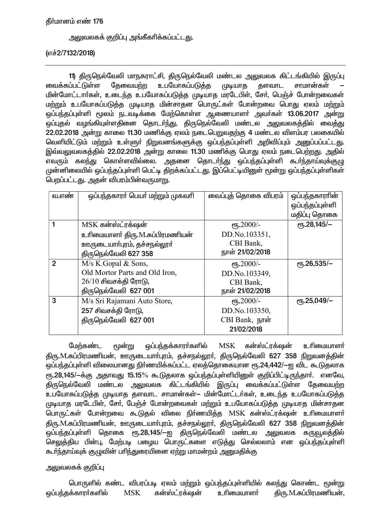### தீர்மானம் எண் 176

அலுவலகக் குறிப்பு அங்கீகாிக்கப்பட்டது.

(எச்2/7132/2018)

11) திருநெல்வேலி மாநகராட்சி, திருநெல்வேலி மண்டல அலுவலக கிட்டங்கியில் இருப்பு வைக்கப்பட்டுள்ள தேவையற்ற உபயோகப்படுத்த முடியாத களவாட சாமான்கள் மின்மோட்டார்கள், உடைந்த உபயோகப்படுத்த முடியாத மரடேபிள், சேர், பெஞ்ச் போன்றவைகள் மற்றும் உபயோகப்படுத்த முடியாத மின்சாதன பொருட்கள் போன்றவை பொது ஏலம் மற்றும் ஒப்பந்தப்புள்ளி மூலம் நடவடிக்கை மேற்கொள்ள ஆணையாளா் அவா்கள் 13.06.2017 அன்று ஒப்புதல் வழங்கியுள்ளதினை தொடர்ந்து, திருநெல்வேலி மண்டல அலுவலகத்தில் வைத்து 22.02.2018 அன்று காலை 11.30 மணிக்கு ஏலம் நடைபெறுவதற்கு 4 மண்டல விளம்பர பலகையில் வெளியிட்டும் மற்றும் உள்ளுா் நிறுவனங்களுக்கு ஒப்பந்தப்புள்ளி அறிவிப்பும் அனுப்பப்பட்டது. இவ்வலுவலகத்தில் 22.02.2018 அன்று காலை 11.30 மணிக்கு பொது ஏலம் நடைபெற்றது. அதில் எவரும் கலந்து கொள்ளவில்லை. அதனை தொடர்ந்து ஒப்பந்தப்புள்ளி கூர்ந்தாய்வுக்குழு முன்னிலையில் ஒப்பந்தப்புள்ளி பெட்டி திறக்கப்பட்டது. இப்பெட்டியினுள் மூன்று ஒப்பந்தப்புள்ளிகள் பெறப்பட்டது. அதன் விபரம்பின்வருமாறு.

| வ.எண்          | ஒப்பந்தகாரா் பெயா் மற்றும் முகவாி | வைப்புத் தொகை விபரம் | ஒப்பந்தகாராின்         |
|----------------|-----------------------------------|----------------------|------------------------|
|                |                                   |                      | ஒப்பந்தப்புள்ளி        |
|                |                                   |                      | மதிப்பு தொகை           |
|                | MSK கன்ஸ்ட்ரக்ஷன்                 | $e$ гђ.2000/-        | $\rm (Fb.28,145/-$     |
|                | உரிமையாளா் திரு.M.சுப்பிரமணியன்   | DD.No.103351,        |                        |
|                | ஊருடையாா்புரம், தச்சநல்லூா்       | CBI Bank,            |                        |
|                | திருநெல்வேலி 627 358              | நாள் 21/02/2018      |                        |
| $\overline{2}$ | $M/s$ K.Gopal & Sons,             | $e$ гђ.2000/-        | $\epsilon$ гђ.26,535/- |
|                | Old Mortor Parts and Old Iron,    | DD.No.103349,        |                        |
|                | $26/10$ சிவசக்தி ரோடு,            | CBI Bank,            |                        |
|                | திருநெல்வேலி 627 001              | நாள் 21/02/2018      |                        |
| 3              | M/s Sri Rajamani Auto Store,      | $e$ гђ.2000/-        | $\rm{e}$ Гђ.25,049/-   |
|                | 257 சிவசக்தி ரோடு,                | DD.No.103350,        |                        |
|                | திருநெல்வேலி 627 001              | CBI Bank, நாள்       |                        |
|                |                                   | 21/02/2018           |                        |

மூன்று  $MSK$  கன்ஸ்ட்ரக்ஷன் மேற்கண்ட ஒப்பந்தக்காரா்களில் உரிமையாளர் திரு.M.சுப்பிரமணியன், ஊருடையாா்புரம், தச்சநல்லூா், திருநெல்வேலி 627 358 நிறுவனத்தின் .<br>ஒப்பந்தப்புள்ளி விலையானது நிர்ணயிக்கப்பட்ட ஏலத்தொகையான ரூ.24,442/--ஐ விட கூடுதலாக ரு.28,145/-க்கு அதாவது 15.15% கூடுதலாக ஒப்பந்தப்புள்ளியினுள் குறிப்பிட்டிருந்தார். எனவே, திருநெல்வேலி மண்டல அலுவலக கிட்டங்கியில் இருப்பு வைக்கப்பட்டுள்ள தேவையற்ற உபயோகப்படுத்த முடியாத தளவாட சாமான்கள்— மின்மோட்டர்கள், உடைந்த உபயோகப்படுத்த முடியாத மரடேபிள், சேர், பேஞ்ச் போன்றவைகள் மற்றும் உபயோகப்படுத்த முடியாத மின்சாதன பொருட்கள் போன்றவை கூடுதல் விலை நிர்ணயித்த MSK கன்ஸ்ட்ரக்ஷன் உரிமையாளர் திரு.M.சுப்பிரமணியன், ஊருடையாா்புரம், தச்சநல்லூா், திருநெல்வேலி 627 358 <u>நிறு</u>வனக்கின் .<br>ஒப்பந்தப்புள்ளி தொகை ரூ.28,145/—ஐ திருநெல்வேலி மண்டல அலுவலக கருவூலத்தில் செலுத்திய பின்பு, மேற்படி பழைய பொருட்களை எடுத்து செல்லலாம் என ஒப்பந்தப்புள்ளி கூா்ந்தாய்வுக் குழுவின் பாிந்துரையினை ஏற்று மாமன்றம் அனுமதிக்கு

### அலுவலகக் குறிப்பு

பொருளில் கண்ட விபரப்படி ஏலம் மற்றும் ஒப்பந்தப்புள்ளியில் கலந்து கொண்ட மூன்று ஒப்பந்தக்காரா்களில் **MSK** கன்ஸ்ட்ரக்ஷன் உரிமையாளர் திரு.M.சுப்பிரமணியன்,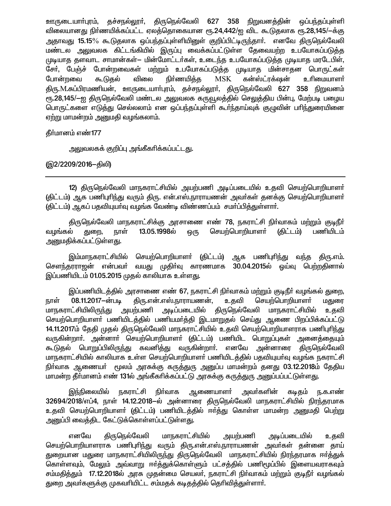ஊருடையாா்புரம், தச்சால்லூா், திருநெல்வேலி 627 358 நிறுவனத்தின் ஒப்பந்தப்புள்ளி விலையானது நிா்ணயிக்கப்பட்ட ஏலத்தொகையான ரூ.24,442/ஐ விட கூடுதலாக ரூ.28,145/—க்கு அதாவது 15.15% கூடுதலாக ஒப்பந்தப்புள்ளியினுள் குறிப்பிட்டிருந்தாா். எனவே திருநெல்வேலி மண்டல அலுவலக கிட்டங்கியில் இருப்பு வைக்கப்பட்டுள்ள தேவையற்ற உபயோகப்படுத்த முடியாத தளவாட சாமான்கள்— மின்மோட்டர்கள், உடைந்த உபயோகப்படுத்த முடியாத மரடேபிள், சேர், பேஞ்ச் போன்றவைகள் மற்றும் உபயோகப்படுத்த முடியாத மின்சாதன பொருட்கள் விலை நிர்ணயித்த **MSK** கன்ஸ்ட்ரக்ஷன் போன்றவை கூடுகல் உரிமையாளர் திரு.M.சுப்பிரமணியன், ஊருடையாா்புரம், தச்சநல்லூா், திருநெல்வேலி 627 358 நிறுவனம் ரூ.28,145/—ஐ திருநெல்வேலி மண்டல அலுவலக கருவூலத்தில் செலுத்திய பின்பு, மேற்படி பழைய பொருட்களை எடுத்து செல்லலாம் என ஒப்பந்தப்புள்ளி கூர்ந்தாய்வுக் குழுவின் பரிந்துரையினை ஏற்று மாமன்றம் அனுமதி வழங்கலாம்.

தீா்மானம் எண்177

அலுவலகக் குறிப்பு அங்கீகரிக்கப்பட்ட<u>த</u>ு.

(இ2/2209/2016-திலி)

12) திருநெல்வேலி மாநகராட்சியில் அயற்பணி அடிப்படையில் உதவி செயற்பொறியாளர் (திட்டம்) ஆக பணிபுரிந்து வரும் திரு. என்.எஸ்.நாராயணன் அவர்கள் தனக்கு செயற்பொறியாளர் (திட்டம்) ஆகப் பதவியுயா்வு வழங்க வேண்டி விண்ணப்பம் சமா்ப்பித்துள்ளாா்.

திருநெல்வேலி மாநகராட்சிக்கு அரசாணை எண் 78, நகராட்சி நிர்வாகம் மற்றும் குடிநீர் செயற்பொறியாளா் வழங்கல் நாள் 13.05.1998ல் ஒரு (திட்டம்) பணியிடம் துறை, <u>அனுமதிக்கப்பட்டுள்ளது.</u>

இம்மாநகராட்சியில் செயற்பொறியாளா் (திட்டம்) ஆக பணிபுாிந்து வந்த திரு.எம். சௌந்தரராஜன் என்பவர் வயது முதிர்வு காரணமாக 30.04.2015ல் ஒய்வு பெற்றதினால் இப்பணியிடம் 01.05.2015 முதல் காலியாக உள்ளது.

இப்பணியிடத்தில் அரசாணை எண் 67, நகராட்சி நிர்வாகம் மற்றும் குடிநீர் வழங்கல் துறை, திரு.என்.எஸ்.நாராயணன், 08.11.2017-ன்படி உதவி செயற்பொறியாளா் மதுரை நாள் <u>மாந</u>கராட்சியிலிரு<u>ந்</u>து அயற்பணி அடிப்படையில் திருநெல்வேலி மாநகராட்சியில் உகவி செயற்பொறியாளா் பணியிடத்தில் பணியமா்த்தி இடமாறுதல் செய்து ஆணை பிறப்பிக்கப்பட்டு 14.11.2017ம் தேதி முதல் திருநெல்வேலி மாநகராட்சியில் உதவி செயற்பொறியாளராக பணிபுரிந்து வருகின்றாா். அன்னாா் செயற்பொறியாளா் (திட்டம்) பணியிட பொறுப்புகள் அனைத்தையும் கூடுதல் பொறுப்பிலிருந்து கவனித்து வருகின்றாா். எனவே அன்னாரை திருநெல்வேலி மாநகராட்சியில் காலியாக உள்ள செயற்பொறியாளர் பணியிடத்தில் பதவியுயர்வு வழங்க நகராட்சி நிர்வாக ஆணையர் மூலம் அரசுக்கு கருத்துரு அனுப்ப மாமன்றம் தனது 03.12.2018ம் தேதிய மாமன்ற தீர்மானம் எண் 131ல் அங்கீகரிக்கப்பட்டு அரசுக்கு கருத்துரு அனுப்பப்பட்டுள்ளது.

நகராட்சி நிர்வாக ஆணையாள**ா்** அவா்களின் இந்நிலையில் கடிகம் ந.க.எண் 32694/2018/எப்4, நாள் 14.12.2018-ல் அன்னாரை திருநெல்வேலி மாநகராட்சியில் நிரந்தரமாக உதவி செயற்பொறியாளா் (திட்டம்) பணியிடத்தில் ஈா்த்து கொள்ள மாமன்ற அனுமதி பெற்று அனுப்பி வைத்திட கேட்டுக்கொள்ளப்பட்டுள்ளது.

எனவே திருநெல்வேலி மாநகராட்சியில் அடிப்படையில் அயற்பணி உதவி செயற்பொறியாளராக பணிபுரிந்து வரும் திரு.என்.எஸ்.நாராயணன் அவர்கள் தன்னை தாய் துறையான மதுரை மாநகராட்சியிலிருந்து திருநெல்வேலி மாநகராட்சியில் நிரந்தரமாக ஈர்த்துக் கொள்ளவும், மேலும் அவ்வாறு ஈர்த்துக்கொள்ளும் பட்சத்தில் பணிமூப்பில் இளையவராகவும் சம்மதித்தும் 17.12.2018ல் அரசு முதன்மை செயலர், நகராட்சி நிர்வாகம் மற்றும் குடிநீர் வழங்கல் துறை அவர்களுக்கு முகவரியிட்ட சம்மதக் கடிதத்தில் தெரிவித்துள்ளார்.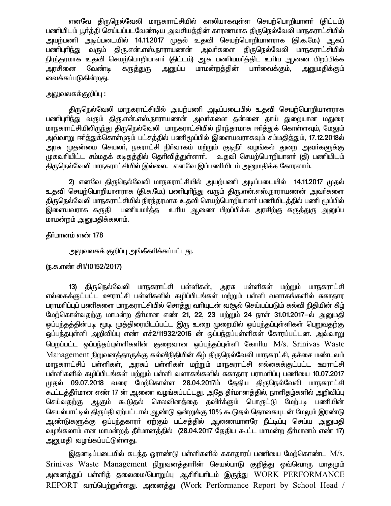எனவே திருநெல்வேலி மாநகராட்சியில் காலியாகவுள்ள செயற்பொறியாளா் (திட்டம்) பணியிடம் பூர்த்தி செய்யப்படவேண்டிய அவசியத்தின் காரணமாக திருநெல்வேலி மாநகராட்சியில் அயற்பணி அடிப்படையில் 14.11.2017 முதல் உதவி செயற்பொறியாளராக (தி.க.மே.) ஆகப் பணிபுரிந்து வரும் திரு.என்.எஸ்.நாராயணன் அவர்களை திருநெல்வேலி மாநகராட்சியில் நிரந்தரமாக உதவி செயற்பொறியாளா் (திட்டம்) ஆக பணியமா்த்திட உாிய ஆணை பிறப்பிக்க அரசினை வேண்டி அனுப்ப மாமன்றத்தின் பார்வைக்கும், கரு<u>க்க</u>ுரு அறுமதிக்கும் வைக்கப்படுகின்றது.

### அலுவலகக்குறிப்பு :

திருநெல்வேலி மாநகராட்சியில் அயற்பணி அடிப்படையில் உதவி செயற்பொறியாளராக பணிபுரிந்து வரும் திரு.என்.எஸ்.நாராயணன் அவா்களை தன்னை தாய் துறையான மதுரை மாநகராட்சியிலிருந்து திருநெல்வேலி மாநகராட்சியில் நிரந்தரமாக ஈர்த்துக் கொள்ளவும், மேலும் அவ்வாறு ஈர்த்துக்கொள்ளும் பட்சத்தில் பணிமூப்பில் இளையவராகவும் சம்மதித்தும், 17.12.2018ல் அரசு முதன்மை செயலா, நகராட்சி நிா்வாகம் மற்றும் குடிநீா் வழங்கல் துறை அவா்களுக்கு முகவரியிட்ட சம்மதக் கடிதத்தில் தெரிவித்துள்ளார். உதவி செயற்பொறியாளர் (தி) பணியிடம் திருநெல்வேலி மாநகராட்சியில் இல்லை. எனவே இப்பணியிடம் அனுமதிக்க கோரலாம்.

2) எனவே திருநெல்வேலி மாநகராட்சியில் அயற்பணி அடிப்படையில் 14.11.2017 முதல் உதவி செயற்பொறியாளராக (தி.க.மே.) பணிபுரிந்து வரும் திரு.என்.எஸ்.நாராயணன் அவர்களை திருநெல்வேலி மாநகராட்சியில் நிரந்தரமாக உதவி செயற்பொறியாளர் பணியிடத்தில் பணி மூப்பில் இளையவராக கருதி பணியமா்த்த உாிய ஆணை பிறப்பிக்க அரசிற்கு கருத்துரு அனுப்ப மாமன்றம் அனுமதிக்கலாம்.

தீர்மானம் எண் 178

அலுவலகக் குறிப்பு அங்கீகரிக்கப்பட்டது.

ரு.க.எண் சி1/10152/2017)

அரசு பள்ளிகள் 13) திருநெல்வேலி மாநகராட்சி பள்ளிகள். மற்றும் மாநகராட்சி எல்கைக்குட்பட்ட ஊராட்சி பள்ளிகளில் கழிப்பிடங்கள் மற்றும் பள்ளி வளாகங்களில் சுகாதார பராமரிப்புப் பணிகளை மாநகராட்சியில் சொத்து வரியுடன் வசூல் செய்யப்படும் கல்வி நிதியின் கீழ் மேற்கொள்வதற்கு மாமன்ற தீர்மான எண் 21, 22, 23 மற்றும் 24 நாள் 31.01.2017–ல் அனுமதி ஒப்பந்தத்தின்படி மூடி முத்திரையிடப்பட்ட இரு உறை முறையில் ஒப்பந்தப்புள்ளிகள் பெறுவதற்கு ஒப்பந்தபுள்ளி அறிவிப்பு எண் எச்2/11932/2016 ன் ஒப்பந்தப்புள்ளிகள் கோரப்பட்டன. அவ்வாறு பெறப்பட்ட ஒப்பந்தப்புள்ளிகளின் குறைவான ஒப்பந்தப்புள்ளி கோரிய M/s. Srinivas Waste Management நிறுவனத்தாருக்கு கல்விநிதியின் கீழ் திருநெல்வேலி மாநகரட்சி, தச்சை மண்டலம் மாநகராட்சிப் பள்ளிகள், அரசுப் பள்ளிகள் மற்றும் மாநகராட்சி எல்கைக்குட்பட்ட ஊராட்சி பள்ளிகளில் கழிப்பிடங்கள் மற்றும் பள்ளி வளாகங்களில் சுகாதார பராமரிப்பு பணியை 10.07.2017 முதல் 09.07.2018 வரை மேற்கொள்ள 28.04.2017ம் தேதிய திருநெல்வேலி மாநகராட்சி கூட்டத்தீர்மான எண் 17 ன் ஆணை வழங்கப்பட்டது. அதே தீர்மானத்தில், நாளிதழ்களில் அறிவிப்பு செய்வதற்கு ஆகும் கூடுதல் செலவினத்தை தவிர்க்கும் பொருட்டு மேற்படி பணியின் செயல்பாட்டில் திருப்தி ஏற்பட்டால் ஆண்டு ஒன்றுக்கு 10% கூடுதல் தொகையுடன் மேலும் இரண்டு ஆண்டுகளுக்கு ஒப்பந்தகாரா் ஏற்கும் பட்சத்தில் ஆணையாளரே நீட்டிப்பு செய்ய அனுமதி வழங்கலாம் என மாமன்றத் தீர்மானத்தில் (28.04.2017 தேதிய கூட்ட மாமன்ற தீர்மானம் எண் 17) அனுமதி வழங்கப்பட்டுள்ளது.

இதனடிப்படையில் கடந்த ஒராண்டு பள்ளிகளில் சுகாதாரப் பணியை மேற்கொண்ட M/s. Srinivas Waste Management நிறுவனத்தாரின் செயல்பாடு குறித்து ஒவ்வொரு மாதமும் அனைத்துப் பள்ளித் தலைமை/பொறுப்பு ஆசிரியரிடம் இருந்து WORK PERFORMANCE REPORT வரப்பெற்றுள்ளது. அனைத்து (Work Performance Report by School Head /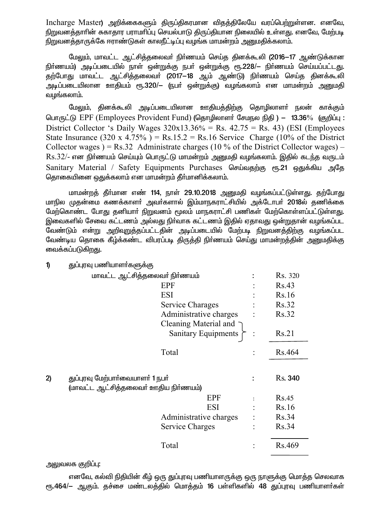Incharge Master) அறிக்கைகளும் திருப்திகரமான விதத்திலேயே வரப்பெற்றுள்ளன. எனவே, நிறுவனத்தாரின் சுகாதார பராமரிப்பு செயல்பாடு திருப்தியான நிலையில் உள்ளது. எனவே, மேற்படி நிறுவனத்தாருக்கே ஈராண்டுகள் காலநீட்டிப்பு வழங்க மாமன்றம் அனுமதிக்கலாம்.

மேலும். மாவட்ட ஆட்சித்தலைவா் நிா்ணயம் செய்த தினக்கூலி (2016—17 ஆண்டுக்கான நிர்ணயம்) அடிப்படையில் நாள் ஒன்றுக்கு நபர் ஒன்றுக்கு ரூ.228/— நிர்ணயம் செய்யப்பட்டது. .<br>தற்போது மாவட்ட ஆட்சித்தலைவா (2017–18 ஆம் ஆண்டு) நிா்ணயம் செய்த தினக்கூலி .<br>அடிப்படையிலான ஊதியம் ரூ.320/— (நபர் ஒன்றுக்கு) வழங்கலாம் என மாமன்றம் அனுமதி வழங்கலாம்.

மேலும், தினக்கூலி அடிப்படையிலான ஊதியத்திற்கு தொழிலாளா் நலன் காக்கும் பொருட்டு EPF (Employees Provident Fund) (தொழிலாளர் சேமநல நிதி) – 13.36% (குறிப்பு: District Collector 's Daily Wages  $320x13.36\%$  = Rs. 42.75 = Rs. 43) (ESI (Employees State Insurance (320 x 4.75%) = Rs.15.2 = Rs.16 Service Charge (10% of the District Collector wages) = Rs.32 Administrate charges (10 % of the District Collector wages) –  $Rs.32/$ - என நிர்ணயம் செய்யும் பொருட்டு மாமன்றம் அனுமதி வழங்கலாம். இதில் கடந்த வருடம் Sanitary Material / Safety Equipments Purchases செய்வதற்கு ரூ.21 ஒதுக்கிய அதே தொகையினை ஒதுக்கலாம் என மாமன்றம் தீர்மானிக்கலாம்.

மாமன்றத் தீர்மான எண் 114, நாள் 29.10.2018 அனுமதி வழங்கப்பட்டுள்ளது. தற்போது மாநில முதன்மை கணக்காளா் அவா்களால் இம்மாநகராட்சியில் அக்டோபா் 2018ல் தணிக்கை மேற்கொண்ட போது தனியார் நிறுவனம் மூலம் மாநகராட்சி பணிகள் மேற்கொள்ளப்பட்டுள்ளது. இவைகளில் சேவை கட்டணம் அல்லது நிர்வாக கட்டணம் இதில் ஏதாவது ஒன்றுதான் வழங்கப்பட வேண்டும் என்று அறிவறுத்தப்பட்டதின் அடிப்படையில் மேற்படி நிறுவனத்திற்கு வழங்கப்பட வேண்டிய தொகை கீழ்க்கண்ட விபரப்படி திருத்தி நிா்ணயம் செய்து மாமன்றத்தின் அனுமதிக்கு வைக்கப்படுகிறது.

துப்புரவு பணியாளர்களுக்கு  $\mathbf{D}$ 

|    | மாவட்ட ஆட்சித்தலைவர் நிர்ணயம்        |                         | Rs. 320        |
|----|--------------------------------------|-------------------------|----------------|
|    |                                      | <b>EPF</b>              | Rs.43          |
|    |                                      | <b>ESI</b>              | Rs.16          |
|    |                                      | <b>Service Charages</b> | Rs.32          |
|    |                                      | Administrative charges  | Rs.32          |
|    |                                      | Cleaning Material and   |                |
|    |                                      | Sanitary Equipments     | Rs.21          |
|    |                                      | Total                   | Rs.464         |
|    |                                      |                         |                |
| 2) | துப்புரவு மேற்பார்வையாளர் 1 நபர்     |                         | <b>Rs.</b> 340 |
|    | (மாவட்ட ஆட்சித்தலைவா் ஊதிய நிா்ணயம்) |                         |                |
|    |                                      | EPF                     | <b>Rs.45</b>   |
|    |                                      | <b>ESI</b>              | Rs.16          |
|    |                                      | Administrative charges  | Rs.34          |
|    |                                      | Service Charges         | Rs.34          |
|    |                                      | Total                   | Rs.469         |

அலுவலக குறிப்பு:

எனவே, கல்வி நிதியின் கீழ் ஒரு துப்புரவு பணியாளருக்கு ஒரு நாளுக்கு மொத்த செலவாக ரூ.464/— ஆகும். தச்சை மண்டலத்தில் மொத்தம் 16 பள்ளிகளில் 48 துப்புரவு பணியாளர்கள்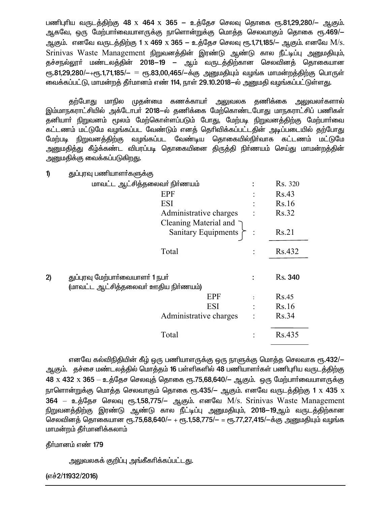பணிபுரிய வருடத்திற்கு 48 x 464 x 365 – உத்தேச செலவு தொகை ரூ.81,29,280/– ஆகும். ஆகவே, ஒரு மேற்பாா்வையாளருக்கு நாளொன்றுக்கு மொத்த செலவாகும் தொகை ரூ.469/— ஆகும். எனவே வருடத்திற்கு 1 x 469 x 365 – உத்தேச செலவு ரூ.1,71,185/– ஆகும். எனவே M/s. Srinivas Waste Management நிறுவனத்தின் இரண்டு ஆண்டு கால நீட்டிப்பு அனுமதியும், தச்சநல்லூா் மண்டலத்தின் 2018—19 — ஆம் வருடத்திற்கான செலவினத் தொகையான  $_{\rm{C}}$ ரு.81,29,280/ $-$ + $_{\rm{C}}$ ரு.1,71,185/ $-$  =  $_{\rm{C}}$ ரு.83,00,465/ $-$ க்கு அனுமதியும் வழங்க மாமன்றத்திற்கு பொருள் வைக்கப்பட்டு, மாமன்றத் தீர்மானம் எண் 114, நாள் 29.10.2018–ல் அனுமதி வழங்கப்பட்டுள்ளது.

தற்போது மாநில முதன்மை கணக்காயா அலுவலக தணிக்கை அலுவலா்களால் இம்மாநகராட்சியில் அக்டோபா் 2018—ல் தணிக்கை மேற்கொண்டபோது மாநகராட்சிப் பணிகள் தனியாா் நிறுவனம் மூலம் மேற்கொள்ளப்படும் போது, மேற்படி நிறுவனத்திற்கு மேற்பாா்வை கட்டணம் மட்டுமே வழங்கப்பட வேண்டும் எனத் தெரிவிக்கப்பட்டதின் அடிப்படையில் தற்போது மேற்படி நிறுவனத்திற்கு வழங்கப்பட வேண்டிய தொகையில்நிா்வாக கட்டணம் மட்டுமே அனுமதித்து கீழ்க்கண்ட விபரப்படி தொகையினை திருத்தி நிா்ணயம் செய்து மாமன்றத்தின் அனுமதிக்கு வைக்கப்படுகிறது.

குப்பாவ பணியாளர்களுக்கு  $\mathbf{v}$ 

|    | மாவட்ட ஆட்சித்தலைவர் நிர்ணயம்        | Rs. 320 |
|----|--------------------------------------|---------|
|    |                                      |         |
|    | <b>EPF</b>                           | Rs.43   |
|    | <b>ESI</b>                           | Rs.16   |
|    | Administrative charges               | Rs.32   |
|    | Cleaning Material and $\bigcap$      |         |
|    | <b>Sanitary Equipments</b>           | Rs.21   |
|    | Total                                | Rs.432  |
|    |                                      |         |
| 2) | துப்புரவு மேற்பார்வையாளர் 1 நபர்     | Rs. 340 |
|    | (மாவட்ட ஆட்சித்தலைவர் ஊதிய நிர்ணயம்) |         |
|    | <b>EPF</b>                           | Rs.45   |
|    | <b>ESI</b>                           | Rs.16   |
|    |                                      |         |
|    | Administrative charges               | Rs.34   |
|    | Total                                | Rs.435  |

எனவே கல்விநிதியின் கீழ் ஒரு பணியாளருக்கு ஒரு நாளுக்கு மொத்த செலவாக ரூ.432/— ஆகும். தச்சை மண்டலத்தில் மொத்தம் 16 பள்ளிகளில் 48 பணியாளா்கள் பணிபுரிய வருடத்திற்கு  $48 \times 432 \times 365 - 26.5$ தேச செலவுத் தொகை ரூ.75,68,640/— ஆகும். ஒரு மேற்பார்வையாளருக்கு நாளொன்றுக்கு மொத்த செலவாகும் தொகை ரூ.435/– ஆகும். எனவே வருடத்திற்கு 1 x 435 x 364 – உத்தேச செலவு ரூ.1,58,775/– ஆகும். எனவே M/s. Srinivas Waste Management நிறுவனத்திற்கு இரண்டு ஆண்டு கால நீட்டிப்பு அனுமதியும், 2018—19ஆம் வருடத்திற்கான செலவினத் தொகையான ரூ.75,68,640/- + ரூ.1,58,775/- = ரூ.77,27,415/-க்கு அனுமதியும் வழங்க மாமன்றம் தீர்மானிக்கலாம்

தீர்மானம் எண் 179

அலுவலகக் குறிப்பு அங்கீகரிக்கப்பட்டது.

(எச்2/11932/2016)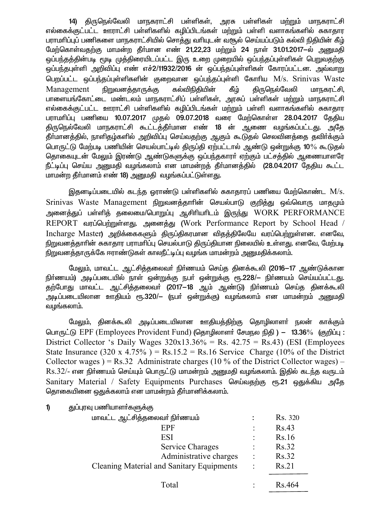14) திருநெல்வேலி மாநகராட்சி பள்ளிகள், அரசு பள்ளிகள் மற்றும் மாநகராட்சி எல்கைக்குட்பட்ட ஊராட்சி பள்ளிகளில் கழிப்பிடங்கள் மற்றும் பள்ளி வளாகங்களில் சுகாதார பராமரிப்புப் பணிகளை மாநகராட்சியில் சொத்து வரியுடன் வசூல் செய்யப்படும் கல்வி நிதியின் கீழ் மேற்கொள்வதற்கு மாமன்ற தீர்மான எண் 21,22,23 மற்றும் 24 நாள் 31.01.2017-ல் அனுமதி ஒப்பந்தத்தின்படி மூடி முத்திரையிடப்பட்ட இரு உறை முறையில் ஒப்பந்தப்புள்ளிகள் பெறுவதற்கு <u>ஒப்பந்த</u>புள்ளி அறிவிப்பு எண் எச்2/11932/2016 ன் ஒப்பந்தப்புள்ளிகள் கோரப்பட்டன. அவ்வாறு பெறப்பட்ட ஒப்பந்தப்புள்ளிகளின் குறைவான ஒப்பந்தப்புள்ளி கோரிய M/s. Srinivas Waste Management நிறுவனத்தாருக்கு கல்விநிதியின் கீழ் திருநெல்வேலி மாநகரட்சி, பாளையங்கோட்டை மண்டலம் மாநகராட்சிப் பள்ளிகள், அரசுப் பள்ளிகள் மற்றும் மாநகராட்சி எல்கைக்குட்பட்ட ஊராட்சி பள்ளிகளில் கழிப்பிடங்கள் மற்றும் பள்ளி வளாகங்களில் சுகாதார பராமரிப்பு பணியை 10.07.2017 முதல் 09.07.2018 வரை மேற்கொள்ள 28.04.2017 தேதிய திருநெல்வேலி மாநகராட்சி கூட்டத்தீர்மான எண் 18 ன் ஆணை வழங்கப்பட்டது. அதே தீா்மானத்தில், நாளிதழ்களில் அறிவிப்பு செய்வதற்கு ஆகும் கூடுதல் செலவினத்தை தவிா்க்கும் பொருட்டு மேற்படி பணியின் செயல்பாட்டில் திருப்தி ஏற்பட்டால் ஆண்டு ஒன்றுக்கு 10*%* கூடுதல் தொகையுடன் மேலும் இரண்டு ஆண்டுகளுக்கு ஒப்பந்தகாரர் ஏற்கும் பட்சத்தில் ஆணையாளரே  $f$ ட்டிப்பு செய்ய அனுமதி வழங்கலாம் என மாமன்றத் தீா்மானத்தில் (28.04.2017 தேதிய கூட்ட மாமன்ற தீர்மானம் எண் 18) அனுமதி வழங்கப்பட்டுள்ளது.

இதனடிப்படையில் கடந்த ஒராண்டு பள்ளிகளில் சுகாதாரப் பணியை மேற்கொண்ட  ${\rm M/s}.$ Srinivas Waste Management நிறுவனத்தாரின் செயல்பாடு குறித்து ஒவ்வொரு மாதமும் அனைத்துப் பள்ளித் தலைமை/பொறுப்பு ஆசிரியரிடம் இருந்து WORK PERFORMANCE REPORT வரப்பெற்றுள்ளது. அனைத்து (Work Performance Report by School Head / Incharge Master) அறிக்கைகளும் திருப்திகரமான விதத்திலேயே வரப்பெற்றுள்ளன. எனவே, நிறுவனத்தாரின் சுகாதார பராமரிப்பு செயல்பாடு திருப்தியான நிலையில் உள்ளது. எனவே, மேற்படி நிறுவனத்தாருக்கே ஈராண்டுகள் காலநீட்டிப்பு வழங்க மாமன்றம் அனுமதிக்கலாம்.

மேலும், மாவட்ட ஆட்சித்தலைவா் நிா்ணயம் செய்த தினக்கூலி (2016—17 ஆண்டுக்கான நிர்ணயம்) அடிப்படையில் நாள் ஒன்றுக்கு நபர் ஒன்றுக்கு ரூ.228/— நிர்ணயம் செய்யப்பட்டது. ்தற்போது மாவட்ட ஆட்சித்தலைவா (2017-18 ஆம் ஆண்டு) நிா்ணயம் செய்த தினக்கூலி அடிப்படையிலான ஊதியம் ரூ.320/— (நபர் ஒன்றுக்கு) வழங்கலாம் என மாமன்றம் அனுமதி வழங்கலாம்.

மேலும், தினக்கூலி அடிப்படையிலான ஊதியத்திற்கு தொழிலாளா் நலன் காக்கும் பொருட்டு EPF (Employees Provident Fund) (தொழிலாளர் சேமநல நிதி) – 13.36% (குறிப்பு: District Collector 's Daily Wages  $320x13.36\% = \text{Rs. } 42.75 = \text{Rs. } 43$ ) (ESI (Employees State Insurance  $(320 \times 4.75\%)$  = Rs.15.2 = Rs.16 Service Charge  $(10\%$  of the District Collector wages  $) = \text{Rs.32}$  Administrate charges (10 % of the District Collector wages) –  $Rs.32/$ - என நிர்ணயம் செய்யும் பொருட்டு மாமன்றம் அனுமதி வழங்கலாம். இதில் கடந்த வருடம் Sanitary Material / Safety Equipments Purchases செய்வதற்கு ரூ.21 ஒதுக்கிய அதே தொகையினை ஒதுக்கலாம் என மாமன்றம் தீர்மானிக்கலாம்.

1) துப்புரவு பணியாளா்களுக்கு

| மாவட்ட ஆட்சித்தலைவா் நிா்ணயம்                    |                      | Rs. 320             |
|--------------------------------------------------|----------------------|---------------------|
| EPF                                              | ٠                    | Rs.43               |
| <b>ESI</b>                                       |                      | Rs.16               |
| Service Charages                                 |                      | Rs.32               |
| Administrative charges                           | $\ddot{\phantom{1}}$ | <b>Rs.32</b>        |
| <b>Cleaning Material and Sanitary Equipments</b> |                      | Rs.21               |
| Total                                            |                      | R <sub>s</sub> .464 |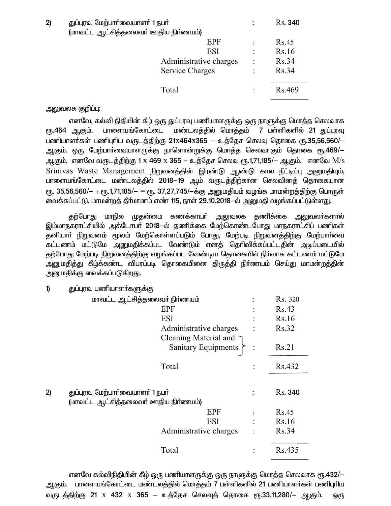| 2) | துப்புரவு மேற்பார்வையாளர் 1 நபர்     |                      | <b>Rs.</b> 340 |
|----|--------------------------------------|----------------------|----------------|
|    | (மாவட்ட ஆட்சித்தலைவர் ஊதிய நிர்ணயம்) |                      |                |
|    | <b>EPF</b>                           |                      | Rs.45          |
|    | ESI                                  | $\ddot{\phantom{a}}$ | Rs.16          |
|    | Administrative charges               | $\vdots$             | <b>Rs.34</b>   |
|    | <b>Service Charges</b>               |                      | <b>Rs.34</b>   |
|    |                                      |                      |                |
|    | Total                                |                      | Rs.469         |

#### அலுவலக குறிப்பு:

எனவே, கல்வி நிதியின் கீழ் ஒரு துப்புரவு பணியாளருக்கு ஒரு நாளுக்கு மொத்த செலவாக ரு.464 ஆகும். பாளையங்கோட்டை மண்டலத்தில் மொத்தம் 7 பள்ளிகளில் 21 துப்புரவு பணியாளர்கள் பணிபுரிய வருடத்திற்கு 21x464x365 - உத்தேச செலவு தொகை ரூ.35,56,560/-ஆகும். ஒரு மேற்பாா்வையாளருக்கு நாளொன்றுக்கு மொத்த செலவாகும் தொகை ரூ.469/-ஆகும். எனவே வருடத்திற்கு 1 x 469 x 365 – உத்தேச செலவு ரூ.1,71,185/– ஆகும். எனவே  $\rm M/s$ Srinivas Waste Management நிறுவனத்தின் இரண்டு ஆண்டு கால நீட்டிப்பு அனுமதியும், பாளையங்கோட்டை மண்டலத்தில் 2018–19 ஆம் வருடத்திற்கான செலவினத் தொகையான  $_{\rm CIF}$ . 35,56,560/ $-$  +  $_{\rm CIF}$ .1,71,185/ $-$  =  $_{\rm CIF}$ . 37,27,745/ $-$ க்கு அனுமதியும் வழங்க மாமன்றத்திற்கு பொருள் வைக்கப்பட்டு, மாமன்றத் தீர்மானம் எண் 115, நாள் 29.10.2018–ல் அனுமதி வழங்கப்பட்டுள்ளது.

தற்போது மாநில முதன்மை கணக்காயா் அலுவலக தணிக்கை அலுவலா்களால் இம்மாநகராட்சியில் அக்டோபர் 2018–ல் தணிக்கை மேற்கொண்டபோது மாநகராட்சிப் பணிகள் தனியாா் நிறுவனம் மூலம் மேற்கொள்ளப்படும் போது, மேற்படி நிறுவனத்திற்கு மேற்பாா்வை ்கட்டணம் மட்டுமே அனுமதிக்கப்பட வேண்டும் எனத் தெரிவிக்கப்பட்டதின் அடிப்படையில் ்தற்போது மேற்படி நிறுவனத்திற்கு வழங்கப்பட வேண்டிய தொகையில் நிர்வாக கட்டணம் மட்டுமே அனுமதித்து கீழ்க்கண்ட விபரப்படி தொகையினை திருத்தி நிர்ணயம் செய்து மாமன்றத்தின் அனுமதிக்கு வைக்கப்படுகிறது.

1) துப்புரவு பணியாளா்களுக்கு

|    | மாவட்ட ஆட்சித்தலைவர் நிர்ணயம்        |                | Rs. 320 |
|----|--------------------------------------|----------------|---------|
|    | <b>EPF</b>                           |                | Rs.43   |
|    | <b>ESI</b>                           |                | Rs.16   |
|    | Administrative charges               |                | Rs.32   |
|    | Cleaning Material and $\bigcap$      |                |         |
|    | Sanitary Equipments                  |                | Rs.21   |
|    | Total                                | $\ddot{\cdot}$ | Rs.432  |
|    |                                      |                |         |
| 2) | துப்புரவு மேற்பார்வையாளர் 1 நபர்     |                | Rs. 340 |
|    | (மாவட்ட ஆட்சித்தலைவர் ஊதிய நிர்ணயம்) |                |         |
|    | EPF                                  | $\ddot{\cdot}$ | Rs.45   |
|    | ESI                                  |                | Rs.16   |
|    | Administrative charges               |                | Rs.34   |
|    |                                      |                |         |
|    | Total                                |                | Rs.435  |

எனவே கல்விநிதியின் கீழ் ஒரு பணியாளருக்கு ஒரு நாளுக்கு மொத்த செலவாக ரூ.432/— ஆகும். பாளையங்கோட்டை மண்டலத்தில் மொத்தம் 7 பள்ளிகளில் 21 பணியாளா்கள் பணிபுாிய வருடத்திற்கு 21 x 432 x 365 – உத்தேச செலவுத் தொகை ரூ.33,11,280/– ஆகும். ஒரு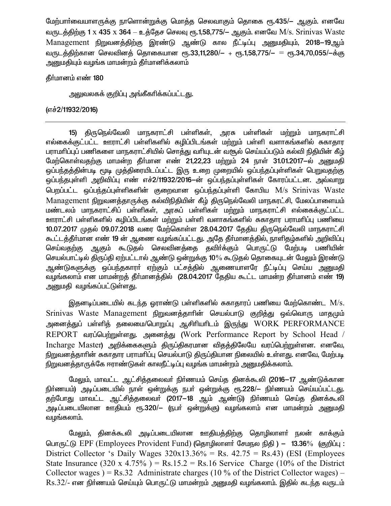மேற்பார்வையாளருக்கு நாளொன்றுக்கு மொக்கு செலவாகும் தொகை ரூ.435/— ஆகும். எனவே வருடத்திற்கு 1 x 435 x 364 – உத்தேச செலவு ரூ.1,58,775/– ஆகும். எனவே M/s. Srinivas Waste Management நிறுவனத்திற்கு இரண்டு ஆண்டு கால நீட்டிப்பு அனுமதியும், 2018–19ஆம் வருடத்திற்கான செலவினத் தொகையான ரூ.33,11,280/— + ரூ.1,58,775/— = ரூ.34,70,055/—க்கு அனுமதியும் வழங்க மாமன்றம் தீா்மானிக்கலாம்

## தீர்மானம் எண் 180

அலுவலகக் குறிப்பு அங்கீகரிக்கப்பட்டது.

# (எச்2/11932/2016)

15) திருநெல்வேலி மாநகராட்சி பள்ளிகள், அரசு பள்ளிகள் மற்றும் மாநகராட்சி எல்கைக்குட்பட்ட ஊராட்சி பள்ளிகளில் கழிப்பிடங்கள் மற்றும் பள்ளி வளாகங்களில் சுகாதார பராமரிப்புப் பணிகளை மாநகராட்சியில் சொக்கு வரியுடன் வசூல் செய்யப்படும் கல்வி நிதியின் கீம் மேற்கொள்வதற்கு மாமன்ற தீர்மான எண் 21,22,23 மற்றும் 24 நாள் 31.01.2017—ல் அனுமதி ஒப்பந்தத்தின்படி மூடி முத்திரையிடப்பட்ட இரு உறை முறையில் ஒப்பந்தப்புள்ளிகள் பெறுவதற்கு ஒப்பந்தபுள்ளி அறிவிப்பு எண் எச்2/11932/2016–ன் ஒப்பந்தப்புள்ளிகள் கோரப்பட்டன. அவ்வாறு பெறப்பட்ட ஒப்பந்தப்புள்ளிகளின் குறைவான ஒப்பந்தப்புள்ளி கோபிய M/s Srinivas Waste Management நிறுவனத்தாருக்கு கல்விநிதியின் கீழ் திருநெல்வேலி மாநகரட்சி, மேலப்பாளையம் மண்டலம் மாநகராட்சிப் பள்ளிகள், அரசுப் பள்ளிகள் மற்றும் மாநகராட்சி எல்கைக்குட்பட்ட ஊராட்சி பள்ளிகளில் கழிப்பிடங்கள் மற்றும் பள்ளி வளாகங்களில் சுகாதார பராமரிப்பு பணியை 10.07.2017 முதல் 09.07.2018 வரை மேற்கொள்ள 28.04.2017 தேதிய திருநெல்வேலி மாநகராட்சி கூட்டத்தீா்மான எண் 19 ன் ஆணை வழங்கப்பட்டது. அதே தீா்மானத்தில், நாளிதழ்களில் அறிவிப்பு செய்வதற்கு ஆகும் கூடுதல் செலவினத்தை தவிா்க்கும் பொருட்டு மேற்படி பணியின் செயல்பாட்டில் திருப்தி ஏற்பட்டால் ஆண்டு ஒன்றுக்கு 10% கூடுதல் தொகையுடன் மேலும் இரண்டு ஆண்டுகளுக்கு ஒப்பந்தகாரா் ஏற்கும் பட்சக்தில் ஆணையாளரே நீட்டிப்பு செய்ய அனுமதி வழங்கலாம் என மாமன்றத் தீர்மானத்தில் (28.04.2017 தேதிய கூட்ட மாமன்ற தீர்மானம் எண் 19) அனுமதி வழங்கப்பட்டுள்ளது.

இதனடிப்படையில் கடந்த ஓராண்டு பள்ளிகளில் சுகாதாரப் பணியை மேற்கொண்ட M/s. Srinivas Waste Management நிறுவனத்தாரின் செயல்பாடு குறித்து ஒவ்வொரு மாதமும் அனைத்துப் பள்ளித் தலைமை/பொறுப்பு ஆசிரியரிடம் இருந்து WORK PERFORMANCE REPORT வரப்பெற்றுள்ளது. அனைத்து (Work Performance Report by School Head / Incharge Master) அறிக்கைகளும் கிருப்திகரமான விதக்கிலேயே வரப்பெற்றுள்ளன. எனவே, நிறுவனத்தாரின் சுகாதார பராமரிப்பு செயல்பாடு திருப்தியான நிலையில் உள்ளது. எனவே, மேற்படி நிறுவனத்தாருக்கே ஈராண்டுகள் காலநீட்டிப்பு வழங்க மாமன்றம் அனுமதிக்கலாம்.

மேலும், மாவட்ட ஆட்சித்தலைவர் நிர்ணயம் செய்த தினக்கூலி (2016—17 ஆண்டுக்கான நிர்ணயம்) அடிப்படையில் நாள் ஒன்றுக்கு நபர் ஒன்றுக்கு ரூ.228/— நிர்ணயம் செய்யப்பட்டது. .<br>தற்போது மாவட்ட ஆட்சித்தலைவா (2017–18 ஆம் ஆண்டு) நிா்ணயம் செய்த தினக்கூலி அடிப்படையிலான ஊதியம் ரூ.320/— (நபர் ஒன்றுக்கு) வழங்கலாம் என மாமன்றம் அனுமதி வழங்கலாம்.

மேலும், தினக்கூலி அடிப்படையிலான ஊதியத்திற்கு தொழிலாளா் நலன் காக்கும் பொருட்டு EPF (Employees Provident Fund) (தொழிலாளர் சேமநல நிதி) – 13.36% (குறிப்பு: District Collector 's Daily Wages  $320x13.36\%$  = Rs.  $42.75$  = Rs. 43) (ESI (Employees State Insurance (320 x 4.75%) = Rs.15.2 = Rs.16 Service Charge (10% of the District Collector wages) = Rs.32 Administrate charges (10 % of the District Collector wages) –  $\rm Rs.32/$ - என நிர்ணயம் செய்யும் பொருட்டு மாமன்றம் அனுமதி வழங்கலாம். இதில் கடந்த வருடம்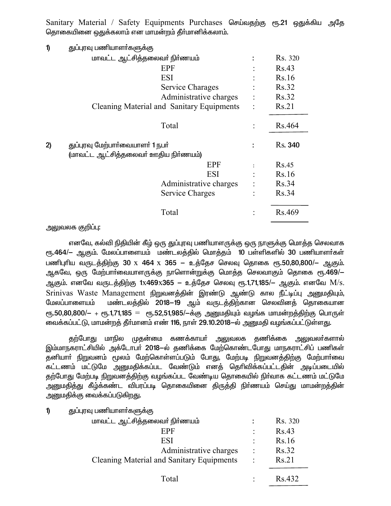Sanitary Material / Safety Equipments Purchases செய்வதற்கு ரூ.21 ஒதுக்கிய அதே தொகையினை ஒதுக்கலாம் என மாமன்றம் தீர்மானிக்கலாம்.

| $\boldsymbol{\theta}$ | துப்புரவு பணியாளா்களுக்கு                                                |                |                |
|-----------------------|--------------------------------------------------------------------------|----------------|----------------|
|                       | மாவட்ட ஆட்சித்தலைவர் நிர்ணயம்                                            |                | Rs. 320        |
|                       | <b>EPF</b>                                                               |                | Rs.43          |
|                       | <b>ESI</b>                                                               |                | Rs.16          |
|                       | Service Charages                                                         |                | Rs.32          |
|                       | Administrative charges                                                   | $\ddot{\cdot}$ | Rs.32          |
|                       | Cleaning Material and Sanitary Equipments                                | $\ddot{\cdot}$ | Rs.21          |
|                       | Total                                                                    |                | Rs.464         |
| 2)                    | துப்புரவு மேற்பார்வையாளர் 1 நபர்<br>(மாவட்ட ஆட்சித்தலைவர் ஊதிய நிர்ணயம்) |                | <b>Rs.</b> 340 |
|                       | <b>EPF</b>                                                               |                | Rs.45          |
|                       | ESI                                                                      |                | Rs.16          |
|                       | Administrative charges                                                   | $\ddot{\cdot}$ | Rs.34          |
|                       | Service Charges                                                          |                | Rs.34          |
|                       | Total                                                                    |                | Rs.469         |
|                       |                                                                          |                |                |

அலுவலக குறிப்பு:

எனவே, கல்வி நிதியின் கீழ் ஒரு துப்புரவு பணியாளருக்கு ஒரு நாளுக்கு மொத்த செலவாக ரூ.464/— ஆகும். மேலப்பாளையம் மண்டலத்தில் மொத்தம் 10 பள்ளிகளில் 30 பணியாளர்கள் பணிபுரிய வருடத்திற்கு 30 x 464 x 365 – உத்தேச செலவு தொகை ரூ.50,80,800/– ஆகும். ஆகவே, ஒரு மேற்பாா்வையாளருக்கு நாளொன்றுக்கு மொத்த செலவாகும் தொகை ரூ.469/— ஆகும். எனவே வருடத்திற்கு 1x469x365 – உத்தேச செலவு ரூ.1,71,185/– ஆகும். எனவே M/s. Srinivas Waste Management நிறுவனத்தின் இரண்டு ஆண்டு கால நீட்டிப்பு அனுமதியும், மண்டலத்தில் 2018–19 ஆம் வருடத்திற்கான செலவினத் தொகையான மேலப்பாளையம்  $_{\rm{f}}$ ரு.50,80,800/ $-$  +  $_{\rm{f}}$ ரு.1,71,185  $=$   $_{\rm{f}}$ ரு.52,51,985/ $-$ க்கு அனுமகியும் வழங்க மாமன்றத்திற்கு பொருள் வைக்கப்பட்டு, மாமன்றத் தீா்மானம் எண் 116, நாள் 29.10.2018—ல் அனுமதி வழங்கப்பட்டுள்ளது.

குற்போது மாநில முகன்மை கணக்காயர் அலுவலக கணிக்கை அலுவலர்களால் இம்மாநகராட்சியில் அக்டோபா் 2018—ல் தணிக்கை மேற்கொண்டபோது மாநகராட்சிப் பணிகள் தனியாா் நிறுவனம் மூலம் மேற்கொள்ளப்படும் போது, மேற்படி நிறுவனத்திற்கு மேற்பாா்வை கட்டணம் மட்டுமே அனுமதிக்கப்பட வேண்டும் எனத் தெரிவிக்கப்பட்டதின் அடிப்படையில் தற்போது மேற்படி நிறுவனத்திற்கு வழங்கப்பட வேண்டிய தொகையில் நிர்வாக கட்டணம் மட்டுமே அனுமதித்து கீழ்க்கண்ட விபரப்படி தொகையினை திருத்தி நிா்ணயம் செய்து மாமன்றத்தின் அனுமதிக்கு வைக்கப்படுகிறது.

| 1) |                           |  |  |
|----|---------------------------|--|--|
|    |                           |  |  |
|    | துப்புரவு பணியாளா்களுக்கு |  |  |
|    |                           |  |  |

| மாவட்ட ஆட்சித்தலைவர் நிர்ணயம்                    |  | Rs. 320 |
|--------------------------------------------------|--|---------|
| EPF                                              |  | Rs.43   |
| <b>ESI</b>                                       |  | Rs.16   |
| Administrative charges                           |  | Rs.32   |
| <b>Cleaning Material and Sanitary Equipments</b> |  | Rs.21   |
| Total                                            |  | Rs.432  |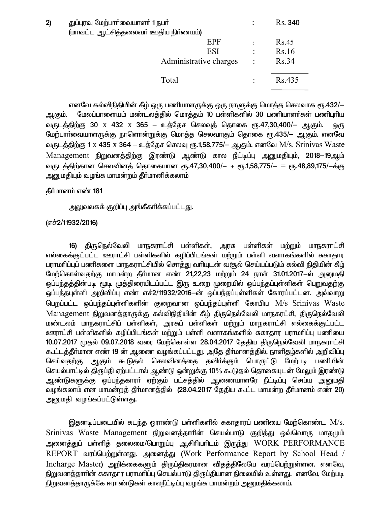| 2) | துப்புரவு மேற்பார்வையாளர் 1 நபர்<br>(மாவட்ட ஆட்சித்தலைவர் ஊதிய நிர்ணயம்) |                | <b>Rs.</b> 340 |
|----|--------------------------------------------------------------------------|----------------|----------------|
|    | EPF                                                                      |                | Rs.45          |
|    | <b>ESI</b>                                                               | $\ddot{\cdot}$ | Rs.16          |
|    | Administrative charges                                                   | $\ddot{\cdot}$ | Rs.34          |
|    | Total                                                                    |                | Rs.435         |

எனவே கல்விநிதியின் கீழ் ஒரு பணியாளருக்கு ஒரு நாளுக்கு மொத்த செலவாக ரூ.432/— ஆகும். மேலப்பாளையம் மண்டலத்தில் மொத்தம் 10 பள்ளிகளில் 30 பணியாளர்கள் பணிபுரிய வருடத்திற்கு 30 x 432 x 365 – உத்தேச செலவுத் தொகை ரூ.47,30,400/– ஆகும். ஒரு மேற்பாா்வையாளருக்கு நாளொன்றுக்கு மொத்த செலவாகும் தொகை ரூ.435/– ஆகும். எனவே வருடத்திற்கு 1 x 435 x 364 – உத்தேச செலவு ரூ.1,58,775/– ஆகும். எனவே M/s. Srinivas Waste Management நிறுவனத்திற்கு இரண்டு ஆண்டு கால நீட்டிப்பு அனுமதியும், 2018–19ஆம் வருடத்திற்கான செலவினத் தொகையான ரூ.47,30,400/– + ரூ.1,58,775/– = ரூ.48,89,175/–க்கு அனுமதியும் வழங்க மாமன்றம் தீா்மானிக்கலாம்

தீர்மானம் எண் 181

அலுவலகக் குறிப்பு அங்கீகரிக்கப்பட்ட<u>த</u>ு.

(எச்2/11932/2016)

16) திருநெல்வேலி மாநகராட்சி பள்ளிகள், அரசு பள்ளிகள் மற்றும் மாநகராட்சி எல்கைக்குட்பட்ட ஊராட்சி பள்ளிகளில் கழிப்பிடங்கள் மற்றும் பள்ளி வளாகங்களில் சுகாதார பராமரிப்புப் பணிகளை மாநகராட்சியில் சொத்து வரியுடன் வசூல் செய்யப்படும் கல்வி நிதியின் கீழ் மேற்கொள்வதற்கு மாமன்ற தீர்மான எண் 21,22,23 மற்றும் 24 நாள் 31.01.2017-ல் அனுமதி <u>ஒப்பந்தத்தின்படி மூடி முத்திரையிடப்பட்ட இரு உறை முறையில் ஒப்பந்தப்புள்ளிகள் பெறுவதற்கு</u> <u>ஒப்பந்த</u>புள்ளி அறிவிப்பு எண் எச்2/11932/2016–ன் ஒப்பந்தப்புள்ளிகள் கோரப்பட்டன. அவ்வாறு பெறப்பட்ட ஒப்பந்தப்புள்ளிகளின் குறைவான ஒப்பந்தப்புள்ளி கோபிய  $M/s$  Srinivas Waste Management நிறுவனத்தாருக்கு கல்விநிதியின் கீழ் திருநெல்வேலி மாநகரட்சி, திருநெல்வேலி மண்டலம் மாநகராட்சிப் பள்ளிகள், அரசுப் பள்ளிகள் மற்றும் மாநகராட்சி எல்கைக்குட்பட்ட <u>ஊராட்</u>சி பள்ளிகளில் கழிப்பிடங்கள் மற்றும் பள்ளி வளாகங்களில் சுகாதார பராமரிப்பு பணியை 10.07.2017 முதல் 09.07.2018 வரை மேற்கொள்ள 28.04.2017 தேதிய திருநெல்வேலி மாநகராட்சி கூட்டத்தீர்மான எண் 19 ன் ஆணை வழங்கப்பட்டது. அதே தீர்மானத்தில், நாளிதழ்களில் அறிவிப்பு செய்வதற்கு ஆகும் கூடுதல் செலவினத்தை தவிா்க்கும் பொருட்டு மேற்படி பணியின் செயல்பாட்டில் திருப்தி ஏற்பட்டால் ஆண்டு ஒன்றுக்கு 10% கூடுதல் தொகையுடன் மேலும் இரண்டு <u>ஆண்டுகளுக்கு ஒப்பந்த</u>காரா் ஏற்கும் பட்சத்தில் ஆணையாளரே நீட்டிப்பு செய்ய அனுமதி ்வழங்கலாம் என மாமன்றத் தீர்மானத்தில் (28.04.2017 தேதிய கூட்ட மாமன்ற தீர்மானம் எண் 20) அனுமதி வழங்கப்பட்டுள்ள<u>த</u>ு.

இதனடிப்படையில் கடந்த ஒராண்டு பள்ளிகளில் சுகாதாரப் பணியை மேற்கொண்ட  $\rm M/s.$ Srinivas Waste Management நிறுவனத்தாரின் செயல்பாடு குறித்து ஒவ்வொரு மாதமும் அனைத்துப் பள்ளித் தலைமை/பொறுப்பு ஆசிரியரிடம் இருந்து WORK PERFORMANCE REPORT வரப்பெற்றுள்ளது. அனைத்து (Work Performance Report by School Head / Incharge Master) அறிக்கைகளும் திருப்திகரமான விதத்திலேயே வரப்பெற்றுள்ளன. எனவே, நிறுவனத்தாரின் சுகாதார பராமரிப்பு செயல்பாடு திருப்தியான நிலையில் உள்ளது. எனவே, மேற்படி நிறுவனத்தாருக்கே ஈராண்டுகள் காலநீட்டிப்பு வழங்க மாமன்றம் அனுமதிக்கலாம்.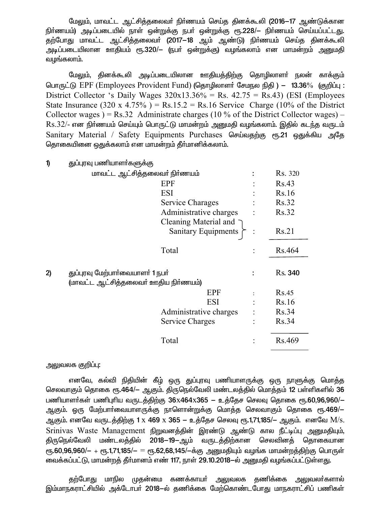மேலும், மாவட்ட ஆட்சித்தலைவர் நிர்ணயம் செய்த தினக்கூலி (2016–17 ஆண்டுக்கான நிா்ணயம்) அடிப்படையில் நாள் ஒன்றுக்கு நபா் ஒன்றுக்கு ரூ.228/— நிா்ணயம் செய்யப்பட்டது. .<br>தற்போது மாவட்ட ஆட்சித்தலைவா (2017-18 ஆம் ஆண்டு) நிா்ணயம் செய்த தினக்கூலி அடிப்படையிலான ஊதியம் ரூ.320/– (நபர் ஒன்றுக்கு) வழங்கலாம் என மாமன்றம் அனுமதி வழங்கலாம்.

மேலும், தினக்கூலி அடிப்படையிலான ஊதியத்திற்கு தொழிலாளர் நலன் காக்கும் பொருட்டு  $EPF$  (Employees Provident Fund) (தொழிலாளர் சேமநல நிதி) - 13.36% (குறிப்பு: District Collector 's Daily Wages  $320x13.36\% = \text{Rs. } 42.75 = \text{Rs. } 43$ ) (ESI (Employees State Insurance  $(320 \times 4.75\%)$  = Rs.15.2 = Rs.16 Service Charge (10% of the District Collector wages  $) = \text{Rs.32}$  Administrate charges (10 % of the District Collector wages) –  $Rs.32/$ - என நிர்ணயம் செய்யும் பொருட்டு மாமன்றம் அனுமதி வழங்கலாம். இதில் கடந்த வருடம் Sanitary Material / Safety Equipments Purchases செய்வதற்கு ரூ.21 ஒதுக்கிய அதே தொகையினை ஒதுக்கலாம் என மாமன்றம் தீர்மானிக்கலாம்.

1) குப்பூரவு பணியாளர்களுக்கு

| மாவட்ட ஆட்சித்தலைவர் நிர்ணயம் |                                             | Rs. 320        |
|-------------------------------|---------------------------------------------|----------------|
|                               | <b>EPF</b>                                  | Rs.43          |
|                               | ESI                                         | Rs.16          |
|                               | Service Charages                            | Rs.32          |
|                               | Administrative charges                      | <b>Rs.32</b>   |
|                               | Cleaning Material and                       |                |
|                               | Sanitary Equipments                         | Rs.21          |
|                               |                                             |                |
|                               | Total                                       | Rs.464         |
|                               |                                             |                |
|                               |                                             |                |
|                               |                                             | <b>Rs.</b> 340 |
| 2)                            | துப்புரவு மேற்பார்வையாளர் 1 நபர்            |                |
|                               | (மாவட்ட ஆட்சித்தலைவர் ஊதிய நிர்ணயம்)<br>EPF | Rs.45          |
|                               | <b>ESI</b>                                  | Rs.16          |
|                               | Administrative charges                      | Rs.34          |
|                               | Service Charges                             | <b>Rs.34</b>   |
|                               |                                             |                |
|                               | Total                                       | Rs.469         |

#### அலுவலக குறி**ப்**பு:

எனவே, கல்வி நிதியின் கீழ் ஒரு துப்புரவு பணியாளருக்கு ஒரு நாளுக்கு மொத்த செலவாகும் தொகை ரூ.464/- ஆகும். திருநெல்வேலி மண்டலத்தில் மொத்தம் 12 பள்ளிகளில் 36 பணியாளர்கள் பணிபுரிய வருடத்திற்கு  $36x464x365 -$  உத்தேச செலவு தொகை ரூ. $60,96,960$ / $-$ ஆகும். ஓரு மேற்பாா்வையாளருக்கு நாளொன்றுக்கு மொத்த செலவாகும் தொகை ரூ.469/-ஆகும். எனவே வருடத்திற்கு 1 x 469 x 365 – உத்தேச செலவு ரூ.1,71,185/– ஆகும். எனவே  $\rm M/s.$ Srinivas Waste Management நிறுவனத்தின் இரண்டு ஆண்டு கால நீட்டிப்பு அனுமதியும், திருநெல்வேலி மண்டலத்தில் 2018–19-ஆம் வருடத்திற்கான செலவினத் தொகையான  $_{\rm C}$ ரு.60,96,960/ $-$  +  $_{\rm C}$ ரு.1,71,185/ $-$  =  $_{\rm C}$ ந.62,68,145/ $-$ க்கு அனுமதியும் வழங்க மாமன்றத்திற்கு பொருள் வைக்கப்பட்டு, மாமன்றத் தீர்மானம் எண் 117, நாள் 29.10.2018–ல் அனுமதி வழங்கப்பட்டுள்ளது.

தற்போது மாநில முதன்மை கணக்காயா் அலுவலக தணிக்கை அலுவலா்களால் இம்மாநகராட்சியில் அக்டோபா் 2018–ல் தணிக்கை மேற்கொண்டபோது மாநகராட்சிப் பணிகள்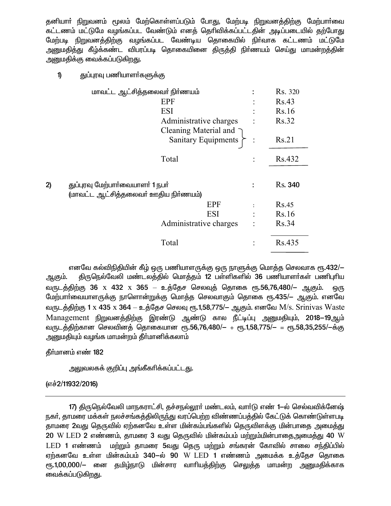தனியாா் நிறுவனம் மூலம் மேற்கொள்ளப்படும் போது, மேற்படி நிறுவனத்திற்கு மேற்பாா்வை கட்டணம் மட்டுமே வழங்கப்பட வேண்டும் எனத் தெரிவிக்கப்பட்டதின் அடிப்படையில் தற்போது .<br>மேற்படி நிறுவனத்திற்கு வழங்கப்பட வேண்டிய தொகையில் நிர்வாக கட்டணம் மட்டுமே <u>அனுமதித்து</u> கீழ்க்கண்ட விபரப்படி தொகையினை திருத்தி நிர்ணயம் செய்து மாமன்றத்தின் அனுமதிக்கு வைக்கப்படுகிறது.

 $\mathbf{D}$ குப்பாவு பணியாளர்களுக்கு

| மாவட்ட ஆட்சித்தலைவர் நிர்ணயம்        |                            | Rs. 320        |
|--------------------------------------|----------------------------|----------------|
| EPF                                  |                            | Rs.43          |
| ESI                                  |                            | Rs.16          |
| Administrative charges               |                            | Rs.32          |
| Cleaning Material and $\bigcap$      |                            |                |
|                                      | Sanitary Equipments $\sum$ | Rs.21          |
| Total                                |                            | Rs.432         |
|                                      |                            |                |
| துப்புரவு மேற்பார்வையாளர் 1 நபர்     |                            | <b>Rs.</b> 340 |
| (மாவட்ட ஆட்சித்தலைவர் ஊதிய நிர்ணயம்) |                            |                |
|                                      | <b>EPF</b>                 | Rs.45          |
|                                      | ESI                        | Rs.16          |
| Administrative charges               |                            | Rs.34          |
| Total                                |                            | Rs.435         |

எனவே கல்விநிதியின் கீழ் ஒரு பணியாளருக்கு ஒரு நாளுக்கு மொத்த செலவாக ரூ.432/— திருநெல்வேலி மண்டலத்தில் மொத்தம் 12 பள்ளிகளில் 36 பணியாளா்கள் பணிபுாிய ஆகும். வருடத்திற்கு 36 x 432 x 365 — உத்தேச செலவுத் தொகை ரூ.56,76,480/— ஆகும். ஒரு மேற்பாா்வையாளருக்கு நாளொன்றுக்கு மொத்த செலவாகும் தொகை ரூ.435/— ஆகும். எனவே வருடத்திற்கு 1 x 435 x 364 – உத்தேச செலவு ரூ.1,58,775/– ஆகும். எனவே M/s. Srinivas Waste Management நிறுவனத்திற்கு இரண்டு ஆண்டு கால நீட்டிப்பு அனுமதியும், 2018–19ஆம் வருடத்திற்கான செலவினத் தொகையான ரூ.56,76,480/— + ரூ.1,58,775/— = ரூ.58,35,255/—க்கு அனுமதியும் வழங்க மாமன்றம் தீா்மானிக்கலாம்

கீர்மானம் எண் 182

 $2)$ 

அலுவலகக் குறிப்பு அங்கீகரிக்கப்பட்ட<u>த</u>ு.

(எச்2/11932/2016)

17) திருநெல்வேலி மாநகராட்சி, தச்சநல்லூர் மண்டலம், வார்டு எண் 1-ல் செல்வவிக்னேஷ் நகர், தாமரை மக்கள் நலச்சங்கத்திலிருந்து வரப்பெற்ற விண்ணப்பத்தில் கேட்டுக் கொண்டுள்ளபடி தாமரை 2வது தெருவில் ஏற்கனவே உள்ள மின்கம்பங்களில் தெருவிளக்கு மின்பாதை அமைத்து  $20\,$  W LED  $2\,$  எண்ணம், தாமரை  $3\,$  வது தெருவில் மின்கம்பம் மற்றும்மின்பாதைஅமைத்து  $40\,$  W LED 1 எண்ணம் மற்றும் தாமரை 5வது தெரு மற்றும் சங்கரன் கோவில் சாலை சந்திப்பில் ஏற்கனவே உள்ள மின்கம்பம் 340–ல் 90 W LED 1 எண்ணம் அமைக்க உத்தேச தொகை ரூ.1,00,000/— னை தமிழ்நாடு மின்சார வாரியத்திற்கு செலுத்த மாமன்ற அனுமதிக்காக வைக்கப்படுகிறது.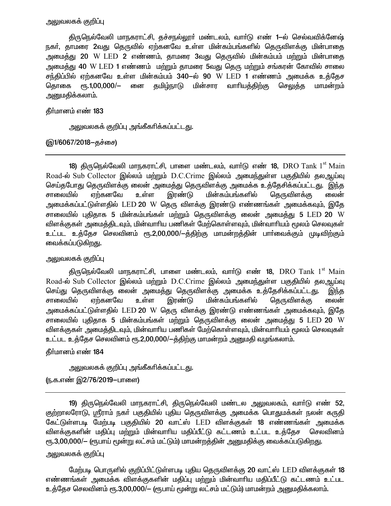### <u>அலுவலகக் குறிப்பு</u>

திருநெல்வேலி மாநகராட்சி, தச்சநல்லூா் மண்டலம், வாா்டு எண் 1—ல் செல்வவிக்னேஷ் நகர், தாமரை 2வது தெருவில் ஏற்கனவே உள்ள மின்கம்பங்களில் தெருவிளக்கு மின்பாதை அமைத்து 20 W LED 2 எண்ணம், தாமரை 3வது தெருவில் மின்கம்பம் மற்றும் மின்பாதை அமைத்து 40 W LED 1 எண்ணம் மற்றும் தாமரை 5வது தெரு மற்றும் சங்கரன் கோவில் சாலை சந்திப்பில் ஏற்கனவே உள்ள மின்கம்பம் 340—ல் 90 W LED 1 எண்ணம் அமைக்க உக்கேச  $\epsilon$ гђ. 1,00,000/ $-$ னை தமிழ்நாடு மின்சார வாரியத்திற்கு கொகை செலுக்க மாமன்றம் <u>அனுமதிக்கலாம்.</u>

#### தீர்மானம் எண் 183

அலுவலகக் குறிப்பு அங்கீகரிக்கப்பட்டது.

### (இ1/6067/2018–தச்சை)

**18)** திருநெல்வேலி மாநகராட்சி, பாளை மண்டலம், வார்டு எண் **18**, DRO Tank 1<sup>st</sup> Main Road-ல் Sub Collector இல்லம் மற்றும் D.C.Crime இல்லம் அமைந்துள்ள பகுதியில் தலஆய்வு செய்தபோது தெருவிளக்கு லைன் அமைத்து தெருவிளக்கு அமைக்க உத்தேசிக்கப்பட்டது. இந்த சாலையில் ஏற்கனவே உள்ள மின்கம்பங்களில் இரண்டு தெருவிளக்கு லைன் அமைக்கப்பட்டுள்ளதில் LED **20** W தெரு விளக்கு இரண்டு எண்ணங்கள் அமைக்கவும், இதே சாலையில் புதிதாக 5 மின்கம்பங்கள் மற்றும் தெருவிளக்கு லைன் அமைத்து 5  $\textrm{LED}$  20  $\textrm{W}$ விளக்குகள் அமைத்திடவும், மின்வாரிய பணிகள் மேற்கொள்ளவும், மின்வாரியம் மூலம் செலவுகள் உட்பட உத்தேச செலவினம் ரூ.2,00,000/-த்திற்கு மாமன்றத்தின் பார்வைக்கும் முடிவிற்கும் வைக்கப்படுகிறது.

### அலுவலகக் குறிப்பு

திருநெல்வேலி மாநகராட்சி, பாளை மண்டலம், வாா்டு எண் 18, DRO Tank 1 $^{\rm st}$  Main Road-ல் Sub Collector இல்லம் மற்றும் D.C.Crime இல்லம் அமைந்துள்ள பகுதியில் தலஆய்வு செய்து தெருவிளக்கு லைன் அமைத்து தெருவிளக்கு அமைக்க உத்தேசிக்கப்பட்டது. இந்த சாலையில் ஏற்கனவே உள்ள இரண்டு மின்கம்பங்களில் தெருவிளக்கு லைன் அமைக்கப்பட்டுள்ளதில் LED 20 W தெரு விளக்கு இரண்டு எண்ணங்கள் அமைக்கவும், இதே சாலையில் புகிகாக 5 மின்கம்பங்கள் மற்றும் தெருவிளக்கு லைன் அமைக்கு 5  $\textrm{LED}$  20  $\textrm{W}$ விளக்குகள் அமைத்திடவும், மின்வாரிய பணிகள் மேற்கொள்ளவும், மின்வாரியம் மூலம் செலவுகள் உட்பட உத்தேச செலவினம் ரூ.2,00,000/-த்திற்கு மாமன்றம் அனுமதி வழங்கலாம்.

### தீர்மானம் எண் 184

அலுவலகக் குறிப்பு அங்கீகரிக்கப்பட்டது.

(ந.க.எண் இ2/76/2019–பாளை)

19) திருநெல்வேலி மாநகராட்சி, திருநெல்வேலி மண்டல அலுவலகம், வார்டு எண் 52, குற்றாலரோடு, ஸ்ரீராம் நகர் பகுதியில் புதிய தெருவிளக்கு அமைக்க பொதுமக்கள் நலன் கருதி கேட்டுள்ளபடி மேற்படி பகுதியில் 20 வாட்ஸ் LED விளக்குகள் 18 எண்ணங்கள் அமைக்க விளக்குகளின் மதிப்பு மற்றும் மின்வாரிய மதிப்பீட்டு கட்டணம் உட்பட உத்தேச செலவினம் ரூ.3,00,000/— (ரூபாய் மூன்று லட்சம் மட்டும்) மாமன்றத்தின் அனுமதிக்கு வைக்கப்படுகிறது.

# அலுவலகக் குறிப்பு

மேற்படி பொருளில் குறிப்பிட்டுள்ளபடி புதிய தெருவிளக்கு 20 வாட்ஸ் LED விளக்குகள் 18 எண்ணங்கள் அமைக்க விளக்குகளின் மதிப்பு மற்றும் மின்வாரிய மதிப்பீட்டு கட்டணம் உட்பட உத்தேச செலவினம் ரூ.3,00,000/- (ரூபாய் மூன்று லட்சம் மட்டும்) மாமன்றம் அனுமதிக்கலாம்.